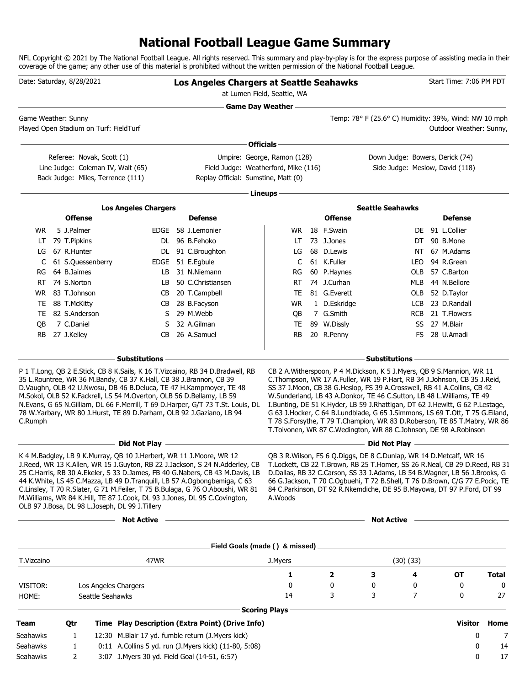## **National Football League Game Summary**

NFL Copyright © 2021 by The National Football League. All rights reserved. This summary and play-by-play is for the express purpose of assisting media in their coverage of the game; any other use of this material is prohibited without the written permission of the National Football League.

| Date: Saturday, 8/28/2021 |                            |                                                                                                     |                                                                                                                                            |  | Los Angeles Chargers at Seattle Seahawks<br>at Lumen Field, Seattle, WA                                                                                                                                                                                                                                                                                                                                        |                        |  |                            |                         | Start Time: 7:06 PM PDT         |                                                                                                                                                                                                                                                                                                                                                                                                                                                                                                                                                   |       |
|---------------------------|----------------------------|-----------------------------------------------------------------------------------------------------|--------------------------------------------------------------------------------------------------------------------------------------------|--|----------------------------------------------------------------------------------------------------------------------------------------------------------------------------------------------------------------------------------------------------------------------------------------------------------------------------------------------------------------------------------------------------------------|------------------------|--|----------------------------|-------------------------|---------------------------------|---------------------------------------------------------------------------------------------------------------------------------------------------------------------------------------------------------------------------------------------------------------------------------------------------------------------------------------------------------------------------------------------------------------------------------------------------------------------------------------------------------------------------------------------------|-------|
|                           | Game Weather: Sunny        | Played Open Stadium on Turf: FieldTurf                                                              |                                                                                                                                            |  | <b>Game Day Weather -</b>                                                                                                                                                                                                                                                                                                                                                                                      |                        |  |                            |                         |                                 | Temp: 78° F (25.6° C) Humidity: 39%, Wind: NW 10 mph<br>Outdoor Weather: Sunny,                                                                                                                                                                                                                                                                                                                                                                                                                                                                   |       |
|                           |                            |                                                                                                     |                                                                                                                                            |  |                                                                                                                                                                                                                                                                                                                                                                                                                | Officials -            |  |                            |                         |                                 |                                                                                                                                                                                                                                                                                                                                                                                                                                                                                                                                                   |       |
|                           |                            | Referee: Novak, Scott (1)<br>Line Judge: Coleman IV, Walt (65)<br>Back Judge: Miles, Terrence (111) |                                                                                                                                            |  | Umpire: George, Ramon (128)<br>Field Judge: Weatherford, Mike (116)<br>Replay Official: Sumstine, Matt (0)                                                                                                                                                                                                                                                                                                     |                        |  |                            |                         | Down Judge: Bowers, Derick (74) | Side Judge: Meslow, David (118)                                                                                                                                                                                                                                                                                                                                                                                                                                                                                                                   |       |
|                           |                            |                                                                                                     |                                                                                                                                            |  |                                                                                                                                                                                                                                                                                                                                                                                                                | Lineups -              |  |                            |                         |                                 |                                                                                                                                                                                                                                                                                                                                                                                                                                                                                                                                                   |       |
|                           |                            |                                                                                                     | <b>Los Angeles Chargers</b>                                                                                                                |  |                                                                                                                                                                                                                                                                                                                                                                                                                |                        |  |                            | <b>Seattle Seahawks</b> |                                 |                                                                                                                                                                                                                                                                                                                                                                                                                                                                                                                                                   |       |
|                           |                            | <b>Offense</b>                                                                                      |                                                                                                                                            |  | <b>Defense</b>                                                                                                                                                                                                                                                                                                                                                                                                 |                        |  | <b>Offense</b>             |                         |                                 | <b>Defense</b>                                                                                                                                                                                                                                                                                                                                                                                                                                                                                                                                    |       |
| WR.                       | 5 J.Palmer                 |                                                                                                     |                                                                                                                                            |  | EDGE 58 J.Lemonier                                                                                                                                                                                                                                                                                                                                                                                             |                        |  | WR 18 F.Swain              |                         |                                 | DE 91 L.Collier                                                                                                                                                                                                                                                                                                                                                                                                                                                                                                                                   |       |
| LT.                       | 79 T.Pipkins               |                                                                                                     |                                                                                                                                            |  | DL 96 B.Fehoko                                                                                                                                                                                                                                                                                                                                                                                                 | LT.                    |  | 73 J.Jones                 |                         |                                 | DT 90 B.Mone                                                                                                                                                                                                                                                                                                                                                                                                                                                                                                                                      |       |
| LG                        | 67 R.Hunter                |                                                                                                     |                                                                                                                                            |  | DL 91 C.Broughton                                                                                                                                                                                                                                                                                                                                                                                              | LG                     |  | 68 D.Lewis                 |                         |                                 | NT 67 M.Adams                                                                                                                                                                                                                                                                                                                                                                                                                                                                                                                                     |       |
|                           |                            | C 61 S.Quessenberry                                                                                 |                                                                                                                                            |  | EDGE 51 E.Egbule                                                                                                                                                                                                                                                                                                                                                                                               | C                      |  | 61 K.Fuller                |                         |                                 | LEO 94 R.Green                                                                                                                                                                                                                                                                                                                                                                                                                                                                                                                                    |       |
| RG<br>RT.                 | 64 B.Jaimes<br>74 S.Norton |                                                                                                     | LB<br>LB                                                                                                                                   |  | 31 N.Niemann<br>50 C.Christiansen                                                                                                                                                                                                                                                                                                                                                                              | RG<br>RT               |  | 60 P.Haynes<br>74 J.Curhan |                         |                                 | OLB 57 C.Barton<br>MLB 44 N.Bellore                                                                                                                                                                                                                                                                                                                                                                                                                                                                                                               |       |
|                           | WR 83 T.Johnson            |                                                                                                     |                                                                                                                                            |  | CB 20 T.Campbell                                                                                                                                                                                                                                                                                                                                                                                               | TE                     |  | 81 G.Everett               |                         |                                 | OLB 52 D.Taylor                                                                                                                                                                                                                                                                                                                                                                                                                                                                                                                                   |       |
|                           | TE 88 T.McKitty            |                                                                                                     |                                                                                                                                            |  | CB 28 B.Facyson                                                                                                                                                                                                                                                                                                                                                                                                | WR                     |  | 1 D.Eskridge               |                         |                                 | LCB 23 D.Randall                                                                                                                                                                                                                                                                                                                                                                                                                                                                                                                                  |       |
| TE                        | 82 S.Anderson              |                                                                                                     |                                                                                                                                            |  | S 29 M.Webb                                                                                                                                                                                                                                                                                                                                                                                                    | QB                     |  | 7 G.Smith                  |                         |                                 | RCB 21 T.Flowers                                                                                                                                                                                                                                                                                                                                                                                                                                                                                                                                  |       |
| QB                        | 7 C.Daniel                 |                                                                                                     | S                                                                                                                                          |  | 32 A.Gilman                                                                                                                                                                                                                                                                                                                                                                                                    | TE                     |  | 89 W.Dissly                |                         |                                 | SS 27 M.Blair                                                                                                                                                                                                                                                                                                                                                                                                                                                                                                                                     |       |
| <b>RB</b>                 | 27 J.Kelley                |                                                                                                     | CB                                                                                                                                         |  | 26 A.Samuel                                                                                                                                                                                                                                                                                                                                                                                                    | <b>RB</b>              |  | 20 R.Penny                 |                         |                                 | FS 28 U.Amadi                                                                                                                                                                                                                                                                                                                                                                                                                                                                                                                                     |       |
|                           |                            |                                                                                                     | <b>Substitutions</b>                                                                                                                       |  |                                                                                                                                                                                                                                                                                                                                                                                                                |                        |  |                            | <b>Substitutions</b>    |                                 |                                                                                                                                                                                                                                                                                                                                                                                                                                                                                                                                                   |       |
| C.Rumph                   |                            |                                                                                                     | 35 L.Rountree, WR 36 M.Bandy, CB 37 K.Hall, CB 38 J.Brannon, CB 39<br>M.Sokol, OLB 52 K.Fackrell, LS 54 M.Overton, OLB 56 D.Bellamy, LB 59 |  | D.Vaughn, OLB 42 U.Nwosu, DB 46 B.Deluca, TE 47 H.Kampmoyer, TE 48<br>N. Evans, G 65 N. Gilliam, DL 66 F. Merrill, T 69 D. Harper, G/T 73 T. St. Louis, DL<br>78 W.Yarbary, WR 80 J.Hurst, TE 89 D.Parham, OLB 92 J.Gaziano, LB 94                                                                                                                                                                             |                        |  |                            |                         |                                 | C. Thompson, WR 17 A. Fuller, WR 19 P. Hart, RB 34 J. Johnson, CB 35 J. Reid,<br>SS 37 J.Moon, CB 38 G.Heslop, FS 39 A.Crosswell, RB 41 A.Collins, CB 42<br>W.Sunderland, LB 43 A.Donkor, TE 46 C.Sutton, LB 48 L.Williams, TE 49<br>I.Bunting, DE 51 K.Hyder, LB 59 J.Rhattigan, DT 62 J.Hewitt, G 62 P.Lestage,<br>G 63 J.Hocker, C 64 B.Lundblade, G 65 J.Simmons, LS 69 T.Ott, T 75 G.Eiland,<br>T 78 S.Forsythe, T 79 T.Champion, WR 83 D.Roberson, TE 85 T.Mabry, WR 86<br>T.Toivonen, WR 87 C.Wedington, WR 88 C.Johnson, DE 98 A.Robinson |       |
|                           |                            |                                                                                                     | $-$ Did Not Play $-$                                                                                                                       |  |                                                                                                                                                                                                                                                                                                                                                                                                                |                        |  |                            |                         |                                 |                                                                                                                                                                                                                                                                                                                                                                                                                                                                                                                                                   |       |
|                           |                            |                                                                                                     | K 4 M.Badgley, LB 9 K.Murray, QB 10 J.Herbert, WR 11 J.Moore, WR 12<br>OLB 97 J.Bosa, DL 98 L.Joseph, DL 99 J.Tillery                      |  | J.Reed, WR 13 K.Allen, WR 15 J.Guyton, RB 22 J.Jackson, S 24 N.Adderley, CB<br>25 C.Harris, RB 30 A.Ekeler, S 33 D.James, FB 40 G.Nabers, CB 43 M.Davis, LB<br>44 K. White, LS 45 C. Mazza, LB 49 D. Tranquill, LB 57 A. Ogbongbemiga, C 63<br>C.Linsley, T 70 R.Slater, G 71 M.Feiler, T 75 B.Bulaga, G 76 O.Aboushi, WR 81<br>M. Williams, WR 84 K. Hill, TE 87 J. Cook, DL 93 J. Jones, DL 95 C. Covington, | A.Woods                |  |                            |                         |                                 | QB 3 R. Wilson, FS 6 Q. Diggs, DE 8 C. Dunlap, WR 14 D. Metcalf, WR 16<br>T.Lockett, CB 22 T.Brown, RB 25 T.Homer, SS 26 R.Neal, CB 29 D.Reed, RB 31<br>D.Dallas, RB 32 C.Carson, SS 33 J.Adams, LB 54 B.Wagner, LB 56 J.Brooks, G<br>66 G.Jackson, T 70 C.Ogbuehi, T 72 B.Shell, T 76 D.Brown, C/G 77 E.Pocic, TE<br>84 C.Parkinson, DT 92 R.Nkemdiche, DE 95 B.Mayowa, DT 97 P.Ford, DT 99                                                                                                                                                      |       |
|                           |                            |                                                                                                     | <b>Not Active</b>                                                                                                                          |  |                                                                                                                                                                                                                                                                                                                                                                                                                |                        |  |                            | <b>Not Active</b>       |                                 |                                                                                                                                                                                                                                                                                                                                                                                                                                                                                                                                                   |       |
|                           |                            |                                                                                                     |                                                                                                                                            |  | _________ Field Goals (made ( ) & missed) _______________________________                                                                                                                                                                                                                                                                                                                                      |                        |  |                            |                         |                                 |                                                                                                                                                                                                                                                                                                                                                                                                                                                                                                                                                   |       |
| T.Vizcaino                |                            |                                                                                                     | 47WR                                                                                                                                       |  |                                                                                                                                                                                                                                                                                                                                                                                                                | J.Myers                |  |                            |                         | (30)(33)                        |                                                                                                                                                                                                                                                                                                                                                                                                                                                                                                                                                   |       |
|                           |                            |                                                                                                     |                                                                                                                                            |  |                                                                                                                                                                                                                                                                                                                                                                                                                | 1                      |  | $\overline{\mathbf{2}}$    | 3                       | 4                               | ОT                                                                                                                                                                                                                                                                                                                                                                                                                                                                                                                                                | Total |
| VISITOR:                  |                            | Los Angeles Chargers                                                                                |                                                                                                                                            |  |                                                                                                                                                                                                                                                                                                                                                                                                                | 0                      |  | 0                          | 0                       | 0                               | 0                                                                                                                                                                                                                                                                                                                                                                                                                                                                                                                                                 | 0     |
| HOME:                     |                            | Seattle Seahawks                                                                                    |                                                                                                                                            |  |                                                                                                                                                                                                                                                                                                                                                                                                                | 14                     |  | 3                          | 3                       | 7                               | 0                                                                                                                                                                                                                                                                                                                                                                                                                                                                                                                                                 | 27    |
|                           |                            |                                                                                                     |                                                                                                                                            |  |                                                                                                                                                                                                                                                                                                                                                                                                                | <b>Scoring Plays -</b> |  |                            |                         |                                 |                                                                                                                                                                                                                                                                                                                                                                                                                                                                                                                                                   |       |
| Team                      | Qtr                        |                                                                                                     |                                                                                                                                            |  | Time Play Description (Extra Point) (Drive Info)                                                                                                                                                                                                                                                                                                                                                               |                        |  |                            |                         |                                 | Visitor                                                                                                                                                                                                                                                                                                                                                                                                                                                                                                                                           | Home  |
| Seahawks                  | 1                          |                                                                                                     |                                                                                                                                            |  | 12:30 M.Blair 17 yd. fumble return (J.Myers kick)                                                                                                                                                                                                                                                                                                                                                              |                        |  |                            |                         |                                 | 0                                                                                                                                                                                                                                                                                                                                                                                                                                                                                                                                                 | 7     |
| Seahawks                  | $\mathbf{1}$               |                                                                                                     |                                                                                                                                            |  | 0:11 A.Collins 5 yd. run (J.Myers kick) (11-80, 5:08)                                                                                                                                                                                                                                                                                                                                                          |                        |  |                            |                         |                                 | 0                                                                                                                                                                                                                                                                                                                                                                                                                                                                                                                                                 | 14    |
| Seahawks                  | 2                          |                                                                                                     | 3:07 J. Myers 30 yd. Field Goal (14-51, 6:57)                                                                                              |  |                                                                                                                                                                                                                                                                                                                                                                                                                |                        |  |                            |                         |                                 | 0                                                                                                                                                                                                                                                                                                                                                                                                                                                                                                                                                 | 17    |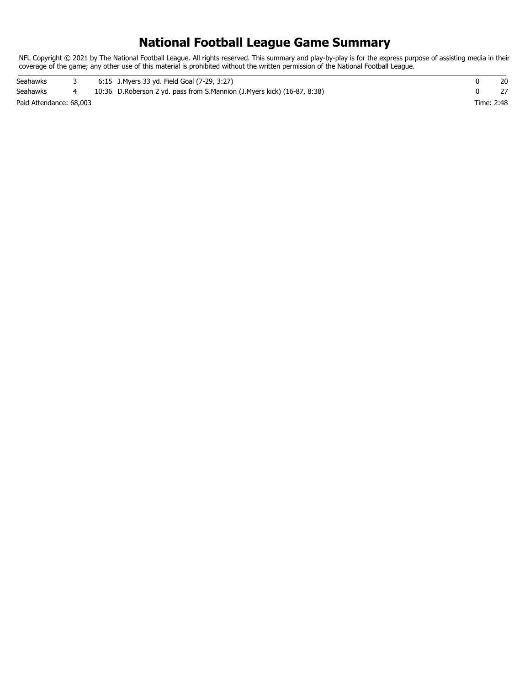## **National Football League Game Summary**

NFL Copyright © 2021 by The National Football League. All rights reserved. This summary and play-by-play is for the express purpose of assisting media in their coverage of the game; any other use of this material is prohibited without the written permission of the National Football League.

Paid Attendance: 68,003 Time: 2:48 Seahawks 3 6:15 J.Myers 33 yd. Field Goal (7-29, 3:27) 0 20 Seahawks 4 10:36 D.Roberson 2 yd. pass from S.Mannion (J.Myers kick) (16-87, 8:38) 0 27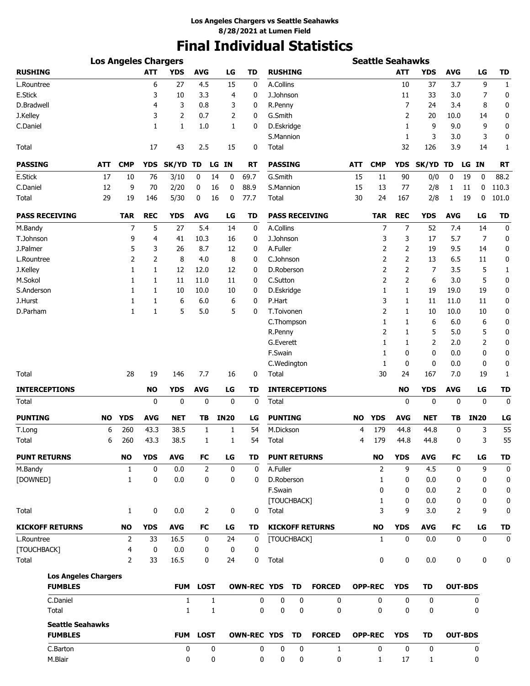# **Final Individual Statistics**

| <b>Los Angeles Chargers</b> |            |                |            |              |             |                |             |                    | <b>Seattle Seahawks</b> |             |                        |            |                |              |             |            |                |              |
|-----------------------------|------------|----------------|------------|--------------|-------------|----------------|-------------|--------------------|-------------------------|-------------|------------------------|------------|----------------|--------------|-------------|------------|----------------|--------------|
| <b>RUSHING</b>              |            |                | <b>ATT</b> | <b>YDS</b>   | <b>AVG</b>  |                | LG          | TD                 | <b>RUSHING</b>          |             |                        |            |                | ATT          | YDS         | <b>AVG</b> | LG             | TD           |
| L.Rountree                  |            |                | 6          | 27           | 4.5         |                | 15          | 0                  | A.Collins               |             |                        |            |                | 10           | 37          | 3.7        | 9              | $\mathbf{1}$ |
| E.Stick                     |            |                | 3          | 10           | 3.3         |                | 4           | 0                  | J.Johnson               |             |                        |            |                | 11           | 33          | 3.0        | 7              | 0            |
| D.Bradwell                  |            |                | 4          | 3            | 0.8         |                | 3           | 0                  | R.Penny                 |             |                        |            |                | 7            | 24          | 3.4        | 8              | 0            |
| J.Kelley                    |            |                | 3          | 2            | 0.7         |                | 2           | 0                  | G.Smith                 |             |                        |            |                | 2            | 20          | 10.0       | 14             | 0            |
| C.Daniel                    |            |                | 1          | 1            | 1.0         |                | 1           | 0                  | D.Eskridge              |             |                        |            |                | 1            | 9           | 9.0        | 9              | 0            |
|                             |            |                |            |              |             |                |             |                    | S.Mannion               |             |                        |            |                | 1            | 3           | 3.0        | 3              | 0            |
| Total                       |            |                | 17         | 43           | 2.5         |                | 15          | 0                  | Total                   |             |                        |            |                | 32           | 126         | 3.9        | 14             | 1            |
| <b>PASSING</b>              | <b>ATT</b> | <b>CMP</b>     | <b>YDS</b> | SK/YD        | TD          | LG             | <b>IN</b>   | RT                 | <b>PASSING</b>          |             |                        | <b>ATT</b> | <b>CMP</b>     | <b>YDS</b>   | SK/YD TD    |            | LG IN          | RT           |
| E.Stick                     | 17         | 10             | 76         | 3/10         | 0           | 14             | 0           | 69.7               | G.Smith                 |             |                        | 15         | 11             | 90           | 0/0         | 0          | 19<br>0        | 88.2         |
| C.Daniel                    | 12         | 9              | 70         | 2/20         | 0           | 16             | 0           | 88.9               | S.Mannion               |             |                        | 15         | 13             | 77           | 2/8         | 1          | 11<br>0        | 110.3        |
| Total                       | 29         | 19             | 146        | 5/30         | 0           | 16             | 0           | 77.7               | Total                   |             |                        | 30         | 24             | 167          | 2/8         | 1          | 19<br>0        | 101.0        |
| <b>PASS RECEIVING</b>       |            | <b>TAR</b>     | <b>REC</b> | <b>YDS</b>   | <b>AVG</b>  |                | LG          | TD                 |                         |             | <b>PASS RECEIVING</b>  |            | <b>TAR</b>     | <b>REC</b>   | <b>YDS</b>  | <b>AVG</b> | LG             | <b>TD</b>    |
| M.Bandy                     |            | 7              | 5          | 27           | 5.4         |                | 14          | 0                  | A.Collins               |             |                        |            | 7              | 7            | 52          | 7.4        | 14             | 0            |
| T.Johnson                   |            | 9              | 4          | 41           | 10.3        |                | 16          | 0                  | J.Johnson               |             |                        |            | 3              | 3            | 17          | 5.7        | 7              | 0            |
| J.Palmer                    |            | 5              | 3          | 26           | 8.7         |                | 12          | 0                  | A.Fuller                |             |                        |            | 2              | 2            | 19          | 9.5        | 14             | 0            |
| L.Rountree                  |            | 2              | 2          | 8            | 4.0         |                | 8           | 0                  | C.Johnson               |             |                        |            | 2              | 2            | 13          | 6.5        | 11             | 0            |
| J.Kelley                    |            | 1              | 1          | 12           | 12.0        |                | 12          | 0                  | D.Roberson              |             |                        |            | 2              | 2            | 7           | 3.5        | 5              | 1            |
| M.Sokol                     |            | 1              | 1          | 11           | 11.0        |                | 11          | 0                  | C.Sutton                |             |                        |            | 2              | 2            | 6           | 3.0        | 5              | 0            |
| S.Anderson                  |            | 1              | 1          | 10           | 10.0        |                | 10          | 0                  | D.Eskridge              |             |                        |            | 1              | $\mathbf{1}$ | 19          | 19.0       | 19             | 0            |
| J.Hurst                     |            | 1              | 1          | 6            | 6.0         |                | 6           | 0                  | P.Hart                  |             |                        |            | 3              | 1            | 11          | 11.0       | 11             | 0            |
| D.Parham                    |            | 1              | 1          | 5            | 5.0         |                | 5           | 0                  | T.Toivonen              |             |                        |            | 2              | 1            | 10          | 10.0       | 10             | 0            |
|                             |            |                |            |              |             |                |             |                    | C.Thompson              |             |                        |            | 1              | 1            | 6           | 6.0        | 6              | 0            |
|                             |            |                |            |              |             |                |             |                    | R.Penny                 |             |                        |            | 2              | 1            | 5           | 5.0        | 5              | 0            |
|                             |            |                |            |              |             |                |             |                    | G.Everett               |             |                        |            | 1              | 1            | 2           | 2.0        | 2              | 0            |
|                             |            |                |            |              |             |                |             |                    | F.Swain                 |             |                        |            | 1              | 0            | 0           | 0.0        | 0              | 0            |
|                             |            |                |            |              |             |                |             |                    | C.Wedington             |             |                        |            | 1              | 0            | 0           | 0.0        | 0              | 0            |
| Total                       |            | 28             | 19         | 146          | 7.7         |                | 16          | 0                  | Total                   |             |                        |            | 30             | 24           | 167         | 7.0        | 19             | 1            |
| <b>INTERCEPTIONS</b>        |            |                | <b>NO</b>  | <b>YDS</b>   | <b>AVG</b>  |                | LG          | TD                 |                         |             | <b>INTERCEPTIONS</b>   |            |                | <b>NO</b>    | <b>YDS</b>  | <b>AVG</b> | LG             | <b>TD</b>    |
| Total                       |            |                | 0          | 0            |             | 0              | $\mathbf 0$ | $\mathbf 0$        | Total                   |             |                        |            |                | 0            | 0           | 0          | $\mathbf{0}$   | $\mathbf 0$  |
| <b>PUNTING</b>              | NO         | <b>YDS</b>     | <b>AVG</b> | <b>NET</b>   | ΤB          |                | <b>IN20</b> | LG                 | <b>PUNTING</b>          |             |                        | NO.        | <b>YDS</b>     | <b>AVG</b>   | NET         | ΤВ         | <b>IN20</b>    | LG           |
| T.Long                      | 6          | 260            | 43.3       | 38.5         |             | 1              | 1           | 54                 | M.Dickson               |             |                        | 4          | 179            | 44.8         | 44.8        | 0          | 3              | 55           |
| Total                       | 6          | 260            | 43.3       | 38.5         |             | 1              | 1           | 54                 | Total                   |             |                        | 4          | 179            | 44.8         | 44.8        | 0          | 3              | 55           |
| <b>PUNT RETURNS</b>         |            | <b>NO</b>      | <b>YDS</b> | <b>AVG</b>   | <b>FC</b>   |                | LG          | TD                 | <b>PUNT RETURNS</b>     |             |                        |            | <b>NO</b>      | <b>YDS</b>   | <b>AVG</b>  | FC         | LG             | <b>TD</b>    |
| M.Bandy                     |            | $\mathbf{1}$   | 0          | 0.0          |             | $\overline{2}$ | $\mathbf 0$ | 0                  | A.Fuller                |             |                        |            | 2              | 9            | 4.5         | 0          | 9              | $\mathbf 0$  |
| [DOWNED]                    |            | 1              | 0          | 0.0          |             | 0              | 0           | 0                  | D.Roberson              |             |                        |            | 1              | 0            | 0.0         | 0          | 0              | 0            |
|                             |            |                |            |              |             |                |             |                    | F.Swain                 |             |                        |            | 0              | 0            | 0.0         | 2          | 0              | 0            |
|                             |            |                |            |              |             |                |             |                    |                         | [TOUCHBACK] |                        |            | 1              | 0            | 0.0         | 0          | 0              | 0            |
| Total                       |            | $\mathbf{1}$   | 0          | 0.0          |             | 2              | 0           | 0                  | Total                   |             |                        |            | 3              | 9            | 3.0         | 2          | 9              | 0            |
| <b>KICKOFF RETURNS</b>      |            | <b>NO</b>      | <b>YDS</b> | <b>AVG</b>   | FC          |                | LG          | TD                 |                         |             | <b>KICKOFF RETURNS</b> |            | <b>NO</b>      | <b>YDS</b>   | <b>AVG</b>  | FC         | LG             | <b>TD</b>    |
| L.Rountree                  |            | 2              | 33         | 16.5         |             | 0              | 24          | 0                  | [TOUCHBACK]             |             |                        |            | 1              | 0            | 0.0         | 0          | 0              | $\mathbf 0$  |
| [TOUCHBACK]                 |            | 4              | 0          | 0.0          |             | 0              | 0           | 0                  |                         |             |                        |            |                |              |             |            |                |              |
| Total                       |            | $\overline{2}$ | 33         | 16.5         |             | 0              | 24          | 0                  | Total                   |             |                        |            | 0              | 0            | 0.0         | 0          | 0              | 0            |
| <b>Los Angeles Chargers</b> |            |                |            |              |             |                |             |                    |                         |             |                        |            |                |              |             |            |                |              |
| <b>FUMBLES</b>              |            |                |            | FUM          | <b>LOST</b> |                |             | <b>OWN-REC YDS</b> |                         | TD          | <b>FORCED</b>          |            | <b>OPP-REC</b> | <b>YDS</b>   | TD          |            | <b>OUT-BDS</b> |              |
| C.Daniel                    |            |                |            | $\mathbf{1}$ |             | $\mathbf{1}$   |             | 0                  | 0                       | 0           | 0                      |            | 0              | 0            | $\mathbf 0$ |            | 0              |              |
| Total                       |            |                |            | 1            |             | $\mathbf{1}$   |             | 0                  | 0                       | 0           | 0                      |            | 0              | 0            | 0           |            | 0              |              |
| <b>Seattle Seahawks</b>     |            |                |            |              |             |                |             |                    |                         |             |                        |            |                |              |             |            |                |              |
| <b>FUMBLES</b>              |            |                |            | <b>FUM</b>   | <b>LOST</b> |                |             | <b>OWN-REC YDS</b> |                         | <b>TD</b>   | <b>FORCED</b>          |            | <b>OPP-REC</b> | <b>YDS</b>   | TD          |            | <b>OUT-BDS</b> |              |
| C.Barton                    |            |                |            | 0            |             | 0              |             | 0                  | 0                       | 0           | 1                      |            | 0              | 0            | 0           |            | 0              |              |
| M.Blair                     |            |                |            | 0            |             | 0              |             | 0                  | 0                       | 0           | 0                      |            | 1              | 17           | 1           |            | 0              |              |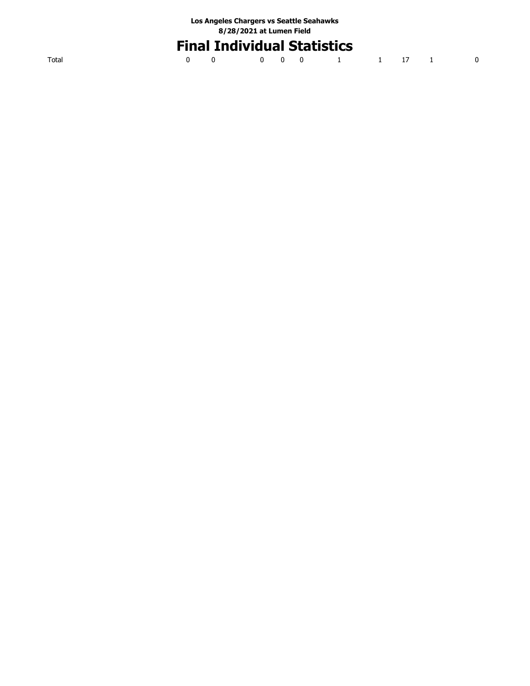| Los Angeles Chargers vs Seattle Seahawks |
|------------------------------------------|
| 8/28/2021 at Lumen Field                 |

# **Final Individual Statistics**

|  | 0 0 0 0 0 0 1 1 17 1 0 |  |  |  |  |
|--|------------------------|--|--|--|--|
|  |                        |  |  |  |  |

Total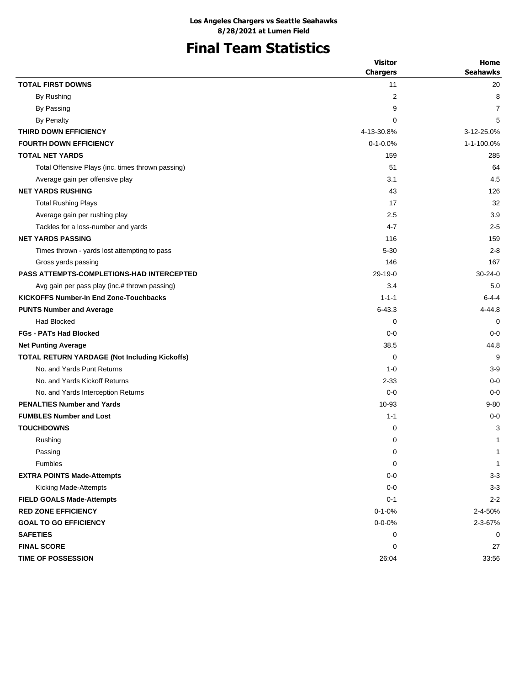# **Final Team Statistics**

|                                                   | <b>Visitor</b>  | Home            |
|---------------------------------------------------|-----------------|-----------------|
|                                                   | <b>Chargers</b> | <b>Seahawks</b> |
| <b>TOTAL FIRST DOWNS</b>                          | 11              | 20              |
| By Rushing                                        | 2               | 8               |
| By Passing                                        | 9               | 7               |
| <b>By Penalty</b>                                 | 0               | 5               |
| THIRD DOWN EFFICIENCY                             | 4-13-30.8%      | 3-12-25.0%      |
| <b>FOURTH DOWN EFFICIENCY</b>                     | $0 - 1 - 0.0%$  | 1-1-100.0%      |
| <b>TOTAL NET YARDS</b>                            | 159             | 285             |
| Total Offensive Plays (inc. times thrown passing) | 51              | 64              |
| Average gain per offensive play                   | 3.1             | 4.5             |
| <b>NET YARDS RUSHING</b>                          | 43              | 126             |
| <b>Total Rushing Plays</b>                        | 17              | 32              |
| Average gain per rushing play                     | 2.5             | 3.9             |
| Tackles for a loss-number and yards               | 4-7             | $2 - 5$         |
| <b>NET YARDS PASSING</b>                          | 116             | 159             |
| Times thrown - yards lost attempting to pass      | $5 - 30$        | $2 - 8$         |
| Gross yards passing                               | 146             | 167             |
| <b>PASS ATTEMPTS-COMPLETIONS-HAD INTERCEPTED</b>  | $29-19-0$       | $30 - 24 - 0$   |
| Avg gain per pass play (inc.# thrown passing)     | 3.4             | 5.0             |
| <b>KICKOFFS Number-In End Zone-Touchbacks</b>     | $1 - 1 - 1$     | $6 - 4 - 4$     |
| <b>PUNTS Number and Average</b>                   | $6 - 43.3$      | $4 - 44.8$      |
| <b>Had Blocked</b>                                | 0               | 0               |
| <b>FGs - PATs Had Blocked</b>                     | $0 - 0$         | $0 - 0$         |
| <b>Net Punting Average</b>                        | 38.5            | 44.8            |
| TOTAL RETURN YARDAGE (Not Including Kickoffs)     | 0               | 9               |
| No. and Yards Punt Returns                        | $1 - 0$         | $3 - 9$         |
| No. and Yards Kickoff Returns                     | $2 - 33$        | $0 - 0$         |
| No. and Yards Interception Returns                | $0 - 0$         | $0 - 0$         |
| <b>PENALTIES Number and Yards</b>                 | 10-93           | $9 - 80$        |
| <b>FUMBLES Number and Lost</b>                    | $1 - 1$         | $0 - 0$         |
| <b>TOUCHDOWNS</b>                                 | 0               | 3               |
| Rushing                                           | 0               | 1               |
| Passing                                           | 0               | $\mathbf 1$     |
| Fumbles                                           | 0               | 1               |
| <b>EXTRA POINTS Made-Attempts</b>                 | $0-0$           | $3 - 3$         |
| Kicking Made-Attempts                             | $0-0$           | $3-3$           |
| <b>FIELD GOALS Made-Attempts</b>                  | $0 - 1$         | $2 - 2$         |
| <b>RED ZONE EFFICIENCY</b>                        | $0 - 1 - 0%$    | 2-4-50%         |
| <b>GOAL TO GO EFFICIENCY</b>                      | $0 - 0 - 0%$    | 2-3-67%         |
| <b>SAFETIES</b>                                   | 0               | 0               |
| <b>FINAL SCORE</b>                                | 0               | 27              |
| <b>TIME OF POSSESSION</b>                         | 26:04           | 33:56           |
|                                                   |                 |                 |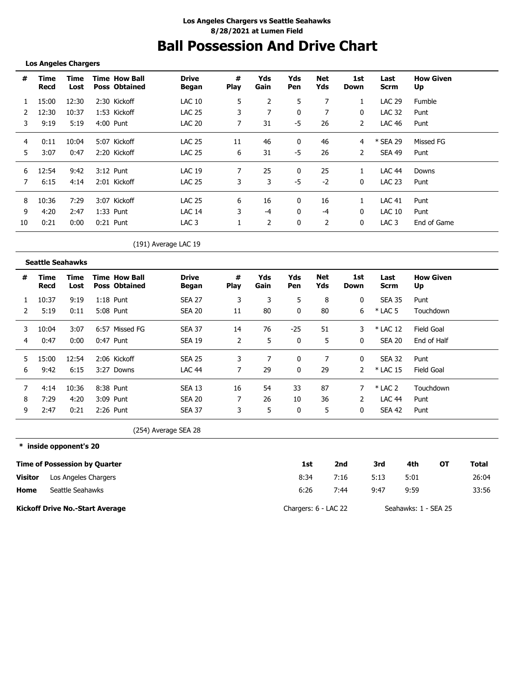## **Ball Possession And Drive Chart**

### **Los Angeles Chargers**

| #  | Time<br>Recd | Time<br>Lost | <b>Time How Ball</b><br><b>Poss Obtained</b> | <b>Drive</b><br>Began | #<br><b>Play</b> | Yds<br>Gain | Yds<br>Pen | Net<br>Yds | 1st<br>Down | Last<br>Scrm     | <b>How Given</b><br>Up |
|----|--------------|--------------|----------------------------------------------|-----------------------|------------------|-------------|------------|------------|-------------|------------------|------------------------|
|    | 15:00        | 12:30        | 2:30 Kickoff                                 | LAC 10                | 5                | 2           | 5          | 7          |             | <b>LAC 29</b>    | <b>Fumble</b>          |
|    | 12:30        | 10:37        | 1:53 Kickoff                                 | <b>LAC 25</b>         | 3                | 7           | 0          | 7          | 0           | <b>LAC 32</b>    | Punt                   |
| 3  | 9:19         | 5:19         | 4:00 Punt                                    | LAC 20                | 7                | 31          | -5         | 26         | 2           | LAC 46           | Punt                   |
| 4  | 0:11         | 10:04        | 5:07 Kickoff                                 | <b>LAC 25</b>         | 11               | 46          | 0          | 46         | 4           | * SEA 29         | Missed FG              |
| 5. | 3:07         | 0:47         | 2:20 Kickoff                                 | <b>LAC 25</b>         | 6                | 31          | -5         | 26         | 2           | SEA 49           | Punt                   |
| 6  | 12:54        | 9:42         | 3:12 Punt                                    | <b>LAC 19</b>         | 7                | 25          | 0          | 25         |             | LAC 44           | Downs                  |
|    | 6:15         | 4:14         | 2:01 Kickoff                                 | <b>LAC 25</b>         | 3                | 3           | -5         | $-2$       | 0           | <b>LAC 23</b>    | Punt                   |
| 8  | 10:36        | 7:29         | 3:07 Kickoff                                 | <b>LAC 25</b>         | 6                | 16          | 0          | 16         |             | <b>LAC 41</b>    | Punt                   |
| 9  | 4:20         | 2:47         | $1:33$ Punt                                  | <b>LAC 14</b>         | 3                | -4          | 0          | -4         | $\Omega$    | LAC 10           | Punt                   |
| 10 | 0:21         | 0:00         | $0:21$ Punt                                  | LAC <sub>3</sub>      |                  | 2           | 0          | 2          | 0           | LAC <sub>3</sub> | End of Game            |

### (191) Average LAC 19

|   | <b>Seattle Seahawks</b> |              |                                              |                       |                  |             |            |            |             |               |                        |
|---|-------------------------|--------------|----------------------------------------------|-----------------------|------------------|-------------|------------|------------|-------------|---------------|------------------------|
| # | Time<br>Recd            | Time<br>Lost | <b>Time How Ball</b><br><b>Poss Obtained</b> | <b>Drive</b><br>Began | #<br><b>Play</b> | Yds<br>Gain | Yds<br>Pen | Net<br>Yds | 1st<br>Down | Last<br>Scrm  | <b>How Given</b><br>Up |
|   | 10:37                   | 9:19         | $1:18$ Punt                                  | <b>SEA 27</b>         | 3                | 3           | 5          | 8          | 0           | <b>SEA 35</b> | Punt                   |
|   | 5:19                    | 0:11         | 5:08 Punt                                    | <b>SEA 20</b>         | 11               | 80          | $\Omega$   | 80         | 6           | $*$ LAC 5     | Touchdown              |
| 3 | 10:04                   | 3:07         | 6:57 Missed FG                               | <b>SEA 37</b>         | 14               | 76          | $-25$      | 51         | 3           | * LAC 12      | Field Goal             |
| 4 | 0:47                    | 0:00         | 0:47 Punt                                    | SEA 19                | 2                | 5           | 0          | 5          | 0           | SEA 20        | End of Half            |
| 5 | 15:00                   | 12:54        | 2:06 Kickoff                                 | <b>SEA 25</b>         | 3                |             | 0          | 7          | 0           | SEA 32        | Punt                   |
| 6 | 9:42                    | 6:15         | 3:27 Downs                                   | <b>LAC 44</b>         | 7                | 29          | 0          | 29         |             | * LAC 15      | Field Goal             |
|   | 4:14                    | 10:36        | 8:38 Punt                                    | <b>SEA 13</b>         | 16               | 54          | 33         | 87         |             | $*$ LAC 2     | Touchdown              |
| 8 | 7:29                    | 4:20         | 3:09 Punt                                    | SEA 20                |                  | 26          | 10         | 36         |             | <b>LAC 44</b> | Punt                   |
| 9 | 2:47                    | 0:21         | 2:26 Punt                                    | <b>SEA 37</b>         | 3                | 5           | 0          | 5          | 0           | SEA 42        | Punt                   |

(254) Average SEA 28

**\* inside opponent's 20 Time of Possession by Quarter Home Visitor Kickoff Drive No.-Start Average 1st 2nd 3rd 4th OT Total** 8:34 6:26 7:16 5:13 5:01 26:04 7:44 9:47 9:59 33:56 Chargers: 6 - LAC 22 Seahawks: 1 - SEA 25 Los Angeles Chargers Seattle Seahawks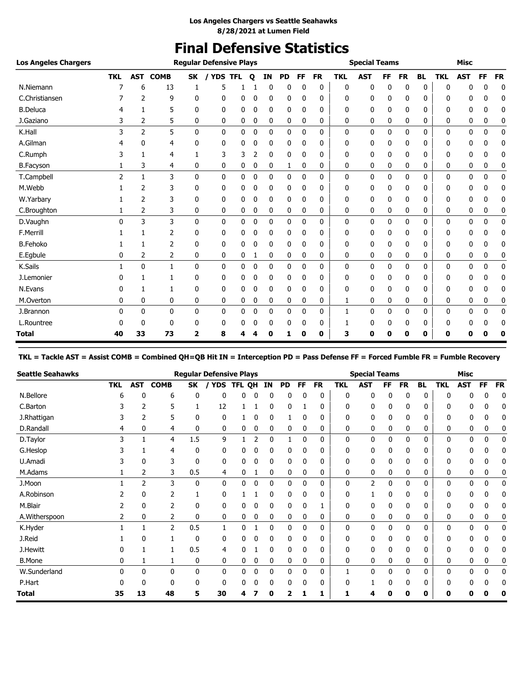## **Final Defensive Statistics**

| <b>Los Angeles Chargers</b> |            |                |              |                         | <b>Regular Defensive Plays</b> |   |              |    |           |              |           |              | <b>Special Teams</b> |           |           |           |            | <b>Misc</b> |             |              |
|-----------------------------|------------|----------------|--------------|-------------------------|--------------------------------|---|--------------|----|-----------|--------------|-----------|--------------|----------------------|-----------|-----------|-----------|------------|-------------|-------------|--------------|
|                             | <b>TKL</b> | <b>AST</b>     | <b>COMB</b>  | <b>SK</b>               | / YDS TFL                      |   | $\mathbf{o}$ | IN | <b>PD</b> | <b>FF</b>    | <b>FR</b> | <b>TKL</b>   | <b>AST</b>           | <b>FF</b> | <b>FR</b> | <b>BL</b> | <b>TKL</b> | <b>AST</b>  | <b>FF</b>   | <b>FR</b>    |
| N.Niemann                   |            | 6              | 13           |                         | 5                              |   |              | 0  | 0         | 0            | 0         | 0            | 0                    | 0         | 0         | 0         | ŋ          | n           | ŋ           | 0            |
| C.Christiansen              |            | 2              | 9            | 0                       | 0                              | 0 | 0            | 0  | 0         | 0            | 0         | 0            | 0                    | 0         | 0         | 0         | n          | 0           | n           | 0            |
| <b>B.Deluca</b>             |            | 1              | 5            | 0                       | 0                              | 0 | 0            | 0  | 0         | 0            | 0         | 0            | 0                    | 0         | 0         | 0         | 0          | 0           | 0           | 0            |
| J.Gaziano                   | 3          | 2              | 5            | 0                       | 0                              | 0 | 0            | 0  | 0         | 0            | 0         | 0            | 0                    | 0         | 0         | 0         | 0          | 0           | 0           | 0            |
| K.Hall                      | 3          | $\overline{2}$ | 5            | $\mathbf{0}$            | 0                              | 0 | 0            | 0  | 0         | $\Omega$     | 0         | 0            | 0                    | 0         | $\Omega$  | 0         | $\Omega$   | 0           | $\mathbf 0$ | $\mathbf 0$  |
| A.Gilman                    |            | 0              | 4            | 0                       | 0                              | 0 | 0            | 0  | 0         | 0            | 0         | 0            | 0                    | 0         | 0         | 0         | 0          | 0           | n           | 0            |
| C.Rumph                     |            | 1              | 4            |                         | 3                              | 3 | 2            | 0  | 0         | 0            | 0         | 0            | 0                    | 0         | 0         | 0         | 0          | 0           | 0           | 0            |
| <b>B.Facyson</b>            |            | 3              | 4            | 0                       | 0                              | 0 | 0            | 0  | 1         | 0            | 0         | 0            | 0                    | 0         | 0         | 0         | 0          | 0           | 0           | 0            |
| T.Campbell                  | 2          | $\mathbf{1}$   | 3            | $\mathbf{0}$            | 0                              | 0 | 0            | 0  | 0         | 0            | 0         | $\mathbf{0}$ | 0                    | 0         | 0         | 0         | 0          | 0           | 0           | $\mathbf{0}$ |
| M.Webb                      |            | 2              | 3            | 0                       | 0                              | 0 | 0            | 0  | 0         | 0            | 0         | 0            | 0                    | 0         | 0         | 0         | 0          | 0           | 0           | 0            |
| W.Yarbary                   |            | 2              | 3            | 0                       | 0                              | 0 | 0            | 0  | 0         | 0            | 0         | $\Omega$     | 0                    | 0         | 0         | 0         | 0          | 0           | 0           | 0            |
| C.Broughton                 |            | 2              | 3            | 0                       | 0                              | 0 | 0            | 0  | 0         | 0            | 0         | 0            | 0                    | 0         | 0         | 0         | 0          | 0           | 0           | 0            |
| D.Vaughn                    | $\Omega$   | 3              | 3            | $\mathbf{0}$            | 0                              | 0 | 0            | 0  | 0         | 0            | 0         | $\mathbf{0}$ | 0                    | 0         | 0         | 0         | 0          | 0           | 0           | 0            |
| F.Merrill                   |            |                | 2            | 0                       | 0                              | 0 | 0            | 0  | 0         | 0            | 0         | 0            | 0                    | 0         | 0         | 0         | 0          | 0           |             | 0            |
| <b>B.Fehoko</b>             |            | 1              | 2            | 0                       | 0                              | 0 | 0            | 0  | 0         | 0            | 0         | 0            | 0                    | 0         | 0         | 0         | 0          | 0           | 0           | 0            |
| E.Egbule                    | 0          | 2              | 2            | 0                       | 0                              | 0 | 1            | 0  | 0         | 0            | 0         | 0            | 0                    | 0         | 0         | 0         | 0          | 0           | 0           | 0            |
| K.Sails                     |            | $\mathbf{0}$   | $\mathbf{1}$ | $\mathbf{0}$            | $\mathbf{0}$                   | 0 | 0            | 0  | 0         | 0            | 0         | 0            | 0                    | 0         | 0         | 0         | 0          | 0           | 0           | 0            |
| J.Lemonier                  |            | 1              | 1            | 0                       | 0                              | 0 | 0            | 0  | 0         | 0            | 0         | 0            | 0                    | 0         | 0         | 0         | ŋ          | 0           | n           | 0            |
| N.Evans                     |            | 1              | 1            | 0                       | 0                              | 0 | 0            | 0  | 0         | 0            | 0         | 0            | 0                    | 0         | 0         | 0         | 0          | 0           | 0           | 0            |
| M.Overton                   | 0          | 0              | 0            | 0                       | 0                              | 0 | 0            | 0  | 0         | 0            | 0         | 1            | 0                    | 0         | 0         | 0         | 0          | 0           | 0           | 0            |
| J.Brannon                   | 0          | 0              | 0            | 0                       | 0                              | 0 | 0            | 0  | 0         | $\mathbf{0}$ | 0         | 1            | 0                    | 0         | 0         | 0         | 0          | 0           | 0           | $\mathbf 0$  |
| L.Rountree                  |            | 0              | $\mathbf{0}$ | 0                       | 0                              | 0 | 0            | 0  | 0         | 0            | 0         |              | 0                    | 0         | 0         | 0         | 0          | 0           | 0           | 0            |
| <b>Total</b>                | 40         | 33             | 73           | $\overline{\mathbf{2}}$ | 8                              | 4 |              | 0  |           | 0            | 0         | 3            | 0                    | п         | 0         | 0         | 0          | 0           | 0           | 0            |

**TKL = Tackle AST = Assist COMB = Combined QH=QB Hit IN = Interception PD = Pass Defense FF = Forced Fumble FR = Fumble Recovery**

| <b>Seattle Seahawks</b> |            |            |              |     | <b>Regular Defensive Plays</b> |        |   |           |           |              |           |              | <b>Special Teams</b> |     |           |           |            | <b>Misc</b> |    |           |
|-------------------------|------------|------------|--------------|-----|--------------------------------|--------|---|-----------|-----------|--------------|-----------|--------------|----------------------|-----|-----------|-----------|------------|-------------|----|-----------|
|                         | <b>TKL</b> | <b>AST</b> | <b>COMB</b>  | SK  | <b>YDS</b>                     | TFL OH |   | <b>IN</b> | <b>PD</b> | FF           | <b>FR</b> | <b>TKL</b>   | AST                  | FF. | <b>FR</b> | <b>BL</b> | <b>TKL</b> | <b>AST</b>  | FF | <b>FR</b> |
| N.Bellore               | 6          | ſ          | 6            | 0   | 0                              | n      | 0 | 0         | 0         | 0            | 0         | 0            | 0                    | 0   | 0         | 0         | n          |             | O  | 0         |
| C.Barton                |            | 2          | 5            |     | 12                             |        |   | 0         | 0         |              | 0         | 0            | 0                    | 0   | 0         | 0         | 0          |             | 0  |           |
| J.Rhattigan             |            | 2          | 5            | 0   | 0                              |        | 0 | 0         |           | 0            | 0         | 0            | 0                    | 0   | 0         | 0         | n          |             |    |           |
| D.Randall               | 4          | 0          | 4            | 0   | 0                              | 0      | 0 | 0         | 0         | 0            | 0         | 0            | 0                    | 0   | 0         | 0         | 0          | 0           | 0  |           |
| D.Taylor                | 3          |            | 4            | 1.5 | 9                              |        | 2 | 0         |           | 0            | 0         | 0            | 0                    | 0   | 0         | 0         | 0          | 0           | 0  | 0         |
| G.Heslop                |            |            | 4            | 0   | 0                              | 0      | 0 | 0         | 0         | 0            | 0         | 0            | 0                    | 0   | 0         | 0         | 0          | 0           | 0  | 0         |
| U.Amadi                 |            | 0          | 3            | 0   | 0                              | 0      | 0 | 0         | 0         | 0            | 0         | 0            | 0                    | 0   | 0         | 0         | 0          | 0           | 0  | 0         |
| M.Adams                 |            | 2          | 3            | 0.5 | 4                              | 0      |   | 0         | 0         | 0            | 0         | 0            | 0                    | 0   | 0         | 0         | 0          | 0           | 0  |           |
| J.Moon                  |            | 2          | 3            | 0   | 0                              | 0      | 0 | 0         | 0         | 0            | 0         | $\mathbf{0}$ | 2                    | 0   | 0         | 0         | 0          | 0           | 0  | 0         |
| A.Robinson              |            | 0          | 2            |     | 0                              |        |   | 0         | 0         | 0            | 0         | 0            | 1                    | 0   | 0         | 0         | 0          | 0           | 0  | 0         |
| M.Blair                 |            | 0          | 2            | 0   | 0                              | 0      | 0 | 0         | 0         | 0            |           | 0            | 0                    | 0   | 0         | 0         | 0          | 0           | 0  | C         |
| A.Witherspoon           | 2          | 0          | 2            | 0   | 0                              | 0      | 0 | 0         | 0         | 0            | 0         | 0            | 0                    | 0   | 0         | 0         | 0          | 0           | 0  |           |
| K.Hyder                 |            |            | 2            | 0.5 |                                | U      |   | 0         | 0         | $\Omega$     | 0         | 0            | 0                    | 0   | $\Omega$  | 0         | 0          | 0           | 0  | 0         |
| J.Reid                  |            | C          |              | 0   | 0                              | 0      | n | $\Omega$  | 0         | $\mathbf{0}$ | 0         | 0            | 0                    | 0   | $\Omega$  | 0         | 0          |             | n  | 0         |
| J.Hewitt                |            |            |              | 0.5 | 4                              | 0      |   | 0         | 0         | 0            | 0         | 0            | 0                    | 0   | 0         | 0         | 0          | 0           | 0  |           |
| <b>B.Mone</b>           | 0          |            |              | 0   | 0                              | 0      | 0 | 0         | 0         | 0            | 0         | 0            | 0                    | 0   | 0         | 0         | 0          | 0           | 0  | 0         |
| W.Sunderland            | U          | 0          | $\mathbf{0}$ | 0   | 0                              | 0      | 0 | 0         | 0         | 0            | 0         |              | 0                    | 0   | 0         | 0         | 0          | 0           | 0  | 0         |
| P.Hart                  |            | ŋ          | 0            | 0   | 0                              | 0      | 0 | 0         | 0         | 0            | 0         | 0            |                      | 0   | 0         | 0         | 0          |             |    | 0         |
| Total                   | 35         | 13         | 48           | 5   | 30                             | 4      |   | 0         | י         |              |           |              |                      |     | 0         | 0         |            |             |    | 0         |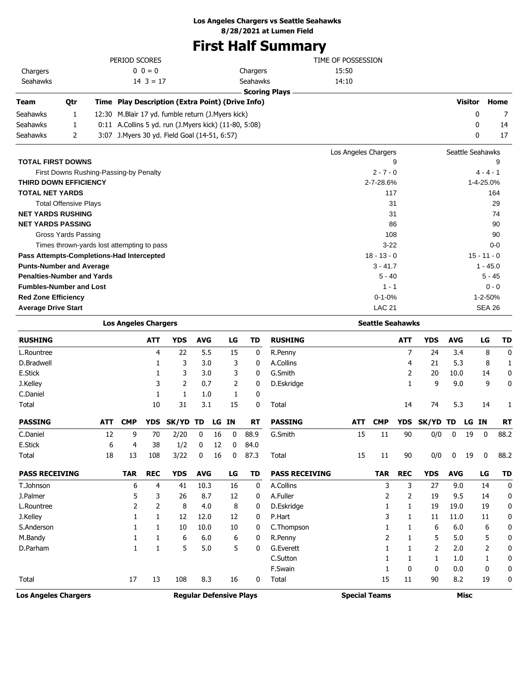## **Los Angeles Chargers vs Seattle Seahawks**

**8/28/2021 at Lumen Field**

## **First Half Summary**

|                          |     | PERIOD SCORES                                         |                      | TIME OF POSSESSION   |                  |      |
|--------------------------|-----|-------------------------------------------------------|----------------------|----------------------|------------------|------|
| Chargers                 |     | $0 \t 0 = 0$                                          | Chargers             | 15:50                |                  |      |
| Seahawks                 |     | $14 \cdot 3 = 17$                                     | Seahawks             | 14:10                |                  |      |
|                          |     |                                                       | <b>Scoring Plays</b> |                      |                  |      |
| Team                     | Qtr | Time Play Description (Extra Point) (Drive Info)      |                      |                      | Visitor          | Home |
| Seahawks                 |     | 12:30 M.Blair 17 yd. fumble return (J.Myers kick)     |                      |                      | 0                |      |
| Seahawks                 |     | 0:11 A.Collins 5 yd. run (J.Myers kick) (11-80, 5:08) |                      |                      | $\mathbf{0}$     | 14   |
| Seahawks                 |     | 3:07 J. Myers 30 yd. Field Goal (14-51, 6:57)         |                      |                      | 0                | 17   |
|                          |     |                                                       |                      | Los Angeles Chargers | Seattle Seahawks |      |
| <b>TOTAL FIRST DOWNS</b> |     |                                                       |                      | 9                    |                  | 9    |

| First Downs Rushing-Passing-by Penalty     | $2 - 7 - 0$   | $4 - 4 - 1$   |
|--------------------------------------------|---------------|---------------|
| <b>THIRD DOWN EFFICIENCY</b>               | 2-7-28.6%     | 1-4-25.0%     |
| <b>TOTAL NET YARDS</b>                     | 117           | 164           |
| <b>Total Offensive Plays</b>               | 31            | 29            |
| <b>NET YARDS RUSHING</b>                   | 31            | 74            |
| <b>NET YARDS PASSING</b>                   | 86            | 90            |
| Gross Yards Passing                        | 108           | 90            |
| Times thrown-yards lost attempting to pass | $3-22$        | $0-0$         |
| Pass Attempts-Completions-Had Intercepted  | $18 - 13 - 0$ | $15 - 11 - 0$ |
| <b>Punts-Number and Average</b>            | $3 - 41.7$    | $1 - 45.0$    |
| <b>Penalties-Number and Yards</b>          | $5 - 40$      | $5 - 45$      |
| <b>Fumbles-Number and Lost</b>             | $1 - 1$       | $0 - 0$       |
| <b>Red Zone Efficiency</b>                 | $0 - 1 - 0%$  | $1 - 2 - 50%$ |
| <b>Average Drive Start</b>                 | <b>LAC 21</b> | SEA 26        |
|                                            |               |               |

|                             |                                | <b>Los Angeles Chargers</b> |            |            |              |    |           |                      | <b>Seattle Seahawks</b> |            |            |            |             |            |    |             |           |  |
|-----------------------------|--------------------------------|-----------------------------|------------|------------|--------------|----|-----------|----------------------|-------------------------|------------|------------|------------|-------------|------------|----|-------------|-----------|--|
| <b>RUSHING</b>              |                                |                             | <b>ATT</b> | <b>YDS</b> | <b>AVG</b>   |    | LG        | TD                   | <b>RUSHING</b>          |            |            | <b>ATT</b> | <b>YDS</b>  | <b>AVG</b> |    | LG          | <b>TD</b> |  |
| L.Rountree                  |                                |                             | 4          | 22         | 5.5          |    | 15        | 0                    | R.Penny                 |            |            | 7          | 24          | 3.4        |    | 8           | 0         |  |
| D.Bradwell                  |                                |                             |            | 3          | 3.0          |    | 3         | 0                    | A.Collins               |            |            | 4          | 21          | 5.3        |    | 8           | 1         |  |
| E.Stick                     |                                |                             |            | 3          | 3.0          |    | 3         | 0                    | G.Smith                 |            |            | 2          | 20          | 10.0       |    | 14          | 0         |  |
| J.Kelley                    |                                |                             | 3          | 2          | 0.7          |    | 2         | 0                    | D.Eskridge              |            |            |            | 9           | 9.0        |    | 9           | 0         |  |
| C.Daniel                    |                                |                             | 1          | 1          | 1.0          |    | 1         | 0                    |                         |            |            |            |             |            |    |             |           |  |
| Total                       |                                |                             | 10         | 31         | 3.1          |    | 15        | 0                    | Total                   |            |            | 14         | 74          | 5.3        |    | 14          | 1         |  |
| <b>PASSING</b>              | <b>ATT</b>                     | <b>CMP</b>                  | <b>YDS</b> | SK/YD      | TD           | LG | <b>IN</b> | <b>RT</b>            | <b>PASSING</b>          | <b>ATT</b> | <b>CMP</b> | <b>YDS</b> | SK/YD       | TD         | LG | <b>IN</b>   | <b>RT</b> |  |
| C.Daniel                    | 12                             | 9                           | 70         | 2/20       | $\mathbf{0}$ | 16 | 0         | 88.9                 | G.Smith                 | 15         | 11         | 90         | 0/0         | 0          | 19 | $\mathbf 0$ | 88.2      |  |
| E.Stick                     | 6                              | 4                           | 38         | 1/2        | 0            | 12 | 0         | 84.0                 |                         |            |            |            |             |            |    |             |           |  |
| Total                       | 18                             | 13                          | 108        | 3/22       | 0            | 16 | 0         | 87.3                 | Total                   | 15         | 11         | 90         | 0/0         | 0          | 19 | 0           | 88.2      |  |
| <b>PASS RECEIVING</b>       |                                | <b>TAR</b>                  | <b>REC</b> | <b>YDS</b> | <b>AVG</b>   |    | LG        | TD                   | <b>PASS RECEIVING</b>   |            | <b>TAR</b> | <b>REC</b> | <b>YDS</b>  | <b>AVG</b> |    | LG          | <b>TD</b> |  |
| T.Johnson                   |                                | 6                           | 4          | 41         | 10.3         |    | 16        | 0                    | A.Collins               |            | 3          | 3          | 27          | 9.0        |    | 14          | 0         |  |
| J.Palmer                    |                                | 5                           | 3          | 26         | 8.7          |    | 12        | 0                    | A.Fuller                |            | 2          | 2          | 19          | 9.5        |    | 14          | 0         |  |
| L.Rountree                  |                                | 2                           | 2          | 8          | 4.0          |    | 8         | 0                    | D.Eskridge              |            |            | 1          | 19          | 19.0       |    | 19          | 0         |  |
| J.Kelley                    |                                |                             | 1          | 12         | 12.0         |    | 12        | 0                    | P.Hart                  |            | 3          | 1          | 11          | 11.0       |    | 11          | 0         |  |
| S.Anderson                  |                                |                             |            | 10         | 10.0         |    | 10        | 0                    | C.Thompson              |            |            |            | 6           | 6.0        |    | 6           | 0         |  |
| M.Bandy                     |                                |                             |            | 6          | 6.0          |    | 6         | 0                    | R.Penny                 |            | 2          |            | 5           | 5.0        |    | 5           | 0         |  |
| D.Parham                    |                                |                             |            | 5          | 5.0          |    | 5         | 0                    | G.Everett               |            |            |            | 2           | 2.0        |    | 2           | 0         |  |
|                             |                                |                             |            |            |              |    |           |                      | C.Sutton                |            |            |            | 1           | 1.0        |    | 1           | 0         |  |
|                             |                                |                             |            |            |              |    |           |                      | F.Swain                 |            |            | 0          | 0           | 0.0        |    | 0           | 0         |  |
| Total                       |                                | 17                          | 13         | 108        | 8.3          |    | 16        | 0                    | Total                   |            | 15         | 11         | 90          | 8.2        |    | 19          | 0         |  |
| <b>Los Angeles Chargers</b> | <b>Reqular Defensive Plays</b> |                             |            |            |              |    |           | <b>Special Teams</b> |                         |            |            |            | <b>Misc</b> |            |    |             |           |  |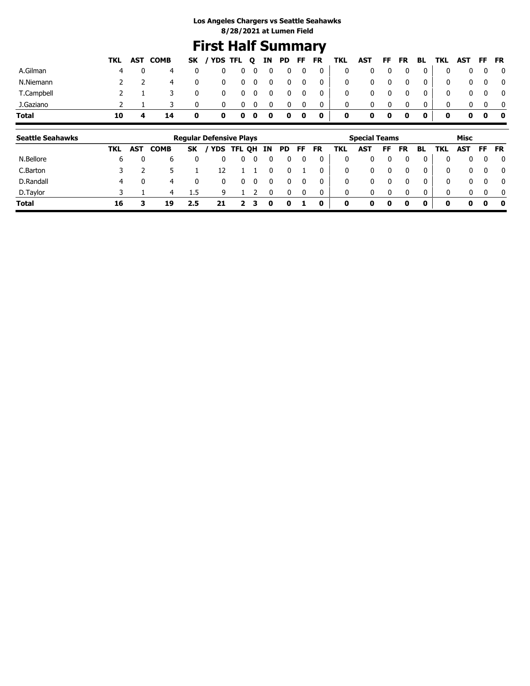## **First Half Summary**

|            |    | TKL AST COMB |             | SK / YDS TFL Q IN PD FF FR TKL AST FF FR BL TKL AST FF FR |                          |            |                         |                         |                         |                                                     |             |             |              |             |                |              |            |                         |
|------------|----|--------------|-------------|-----------------------------------------------------------|--------------------------|------------|-------------------------|-------------------------|-------------------------|-----------------------------------------------------|-------------|-------------|--------------|-------------|----------------|--------------|------------|-------------------------|
| A.Gilman   |    | 4            | 0           |                                                           | $0\quad 0\quad 0\quad 0$ |            |                         | $\overline{\mathbf{0}}$ | $\overline{\mathbf{0}}$ | $\begin{array}{c} 0 \end{array}$                    | $\mathbf 0$ | 0           | 0            | $\mathbf 0$ | $\mathbf{0}$   | $\mathbf 0$  |            | $0\quad 0\quad 0$       |
| N.Niemann  |    | 4            | $\mathbf 0$ | $^{\rm o}$                                                |                          | $0\quad 0$ | $\overline{\mathbf{0}}$ | $\mathbf{0}$            | $\overline{\mathbf{0}}$ | $\overline{\phantom{0}}$ 0 $\overline{\phantom{0}}$ | $\mathbf 0$ | 0           | 0            | $\mathbf 0$ | 0 <sup>1</sup> | $\mathbf{0}$ |            | $0\quad 0\quad 0$       |
| T.Campbell |    |              | 0           | $\mathbf 0$                                               |                          | $0\quad 0$ | $\overline{\mathbf{0}}$ | - 0                     | $\overline{\mathbf{0}}$ | $\overline{\mathbf{0}}$                             | $\mathbf 0$ | 0           | 0            | $\mathbf 0$ | 0 <sup>1</sup> | $\mathbf{0}$ | $0\quad 0$ | $\overline{\mathbf{0}}$ |
| J.Gaziano  |    |              | 0           | 0                                                         | 0                        | - 0        | 0                       | 0                       | 0                       | $\mathbf 0$                                         | $\mathbf 0$ |             | 0            | 0           | $\mathbf{0}$   | $\Omega$     |            | $\overline{0}$          |
| Total      | 10 |              | 0           |                                                           | $0\quad 0\quad 0\quad 0$ |            |                         | $\bullet$ 0             |                         | $\overline{\mathbf{0}}$                             | $\mathbf 0$ | $\mathbf 0$ | $\mathbf{0}$ | $\mathbf 0$ | $\mathbf 0$    | $\mathbf 0$  | $0\quad 0$ | $\bullet$               |

| <b>Seattle Seahawks</b> |     |            |      |     | <b>Regular Defensive Plays</b> |      |    |    |     |    |           |     | <b>Special Teams</b> |    |           |          |            | Misc         |          |              |
|-------------------------|-----|------------|------|-----|--------------------------------|------|----|----|-----|----|-----------|-----|----------------------|----|-----------|----------|------------|--------------|----------|--------------|
|                         | TKL | <b>AST</b> | СОМВ | SK  | <b>YDS</b>                     | TFL. | OH | IN | PD. | FF | <b>FR</b> | TKL | <b>AST</b>           | FF | <b>FR</b> | BL       | <b>TKL</b> | <b>AST</b>   | FF       | <b>FR</b>    |
| N.Bellore               | ь   |            | b    |     |                                | 0    |    |    |     |    |           | 0   |                      |    |           |          | 0          | 0            | 0        | 0            |
| C.Barton                |     |            |      |     | 12                             |      |    |    |     |    |           | 0   | 0                    |    |           | 0        | 0          | 0            | 0        | $\mathbf{0}$ |
| D.Randall               | 4   |            | 4    |     |                                | 0    | 0  |    |     |    |           | 0   | 0                    |    |           |          | 0          | $\mathbf{0}$ | $\Omega$ | $\mathbf{0}$ |
| D.Taylor                |     |            | 4    | 1.5 | a                              |      |    |    |     |    |           | 0   | 0                    |    |           | $\Omega$ | 0          | $\Omega$     | $\Omega$ | $\mathbf{0}$ |
| <b>Total</b>            | 16  |            | 19   | 2.5 |                                |      |    |    |     |    | 0         | 0   | 0                    |    | 0         | 0        | 0          | 0            | 0        | 0            |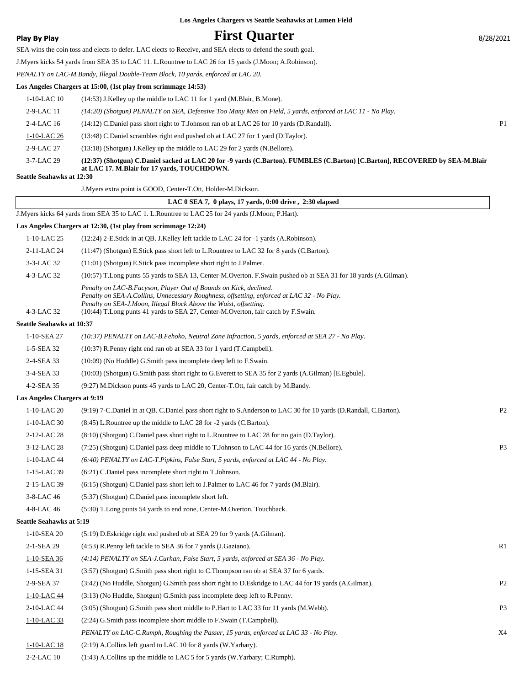## **Play By Play Play Play Play First Quarter** 8/28/2021

SEA wins the coin toss and elects to defer. LAC elects to Receive, and SEA elects to defend the south goal.

J.Myers kicks 54 yards from SEA 35 to LAC 11. L.Rountree to LAC 26 for 15 yards (J.Moon; A.Robinson).

*PENALTY on LAC-M.Bandy, Illegal Double-Team Block, 10 yards, enforced at LAC 20.*

### **Los Angeles Chargers at 15:00, (1st play from scrimmage 14:53)**

| <b>Seattle Seahawks at 12:30</b> |                                                                                                                                                                             |                |
|----------------------------------|-----------------------------------------------------------------------------------------------------------------------------------------------------------------------------|----------------|
| 3-7-LAC 29                       | (12:37) (Shotgun) C.Daniel sacked at LAC 20 for -9 yards (C.Barton). FUMBLES (C.Barton) [C.Barton], RECOVERED by SEA-M.Blair<br>at LAC 17. M.Blair for 17 yards, TOUCHDOWN. |                |
| $2-9-I$ AC 27                    | (13:18) (Shotgun) J.Kelley up the middle to LAC 29 for 2 yards (N.Bellore).                                                                                                 |                |
| 1-10-LAC 26                      | (13:48) C.Daniel scrambles right end pushed ob at LAC 27 for 1 yard (D.Taylor).                                                                                             |                |
| $2-4-LAC$ 16                     | (14:12) C.Daniel pass short right to T.Johnson ran ob at LAC 26 for 10 yards (D.Randall).                                                                                   | P <sub>1</sub> |
| $2-9-LAC11$                      | (14:20) (Shotgun) PENALTY on SEA, Defensive Too Many Men on Field, 5 yards, enforced at LAC 11 - No Play.                                                                   |                |
| 1-10-LAC 10                      | (14:53) J.Kelley up the middle to LAC 11 for 1 yard (M.Blair, B.Mone).                                                                                                      |                |
|                                  |                                                                                                                                                                             |                |

|                                  | J. Myers extra point is GOOD, Center-T.Ott, Holder-M. Dickson.                                                                                                                                                                                                                                                            |                |
|----------------------------------|---------------------------------------------------------------------------------------------------------------------------------------------------------------------------------------------------------------------------------------------------------------------------------------------------------------------------|----------------|
|                                  | LAC 0 SEA 7, 0 plays, 17 yards, 0:00 drive, 2:30 elapsed                                                                                                                                                                                                                                                                  |                |
|                                  | J.Myers kicks 64 yards from SEA 35 to LAC 1. L.Rountree to LAC 25 for 24 yards (J.Moon; P.Hart).                                                                                                                                                                                                                          |                |
|                                  | Los Angeles Chargers at 12:30, (1st play from scrimmage 12:24)                                                                                                                                                                                                                                                            |                |
| 1-10-LAC 25                      | (12:24) 2-E.Stick in at QB. J.Kelley left tackle to LAC 24 for -1 yards (A.Robinson).                                                                                                                                                                                                                                     |                |
| 2-11-LAC 24                      | (11:47) (Shotgun) E.Stick pass short left to L.Rountree to LAC 32 for 8 yards (C.Barton).                                                                                                                                                                                                                                 |                |
| 3-3-LAC 32                       | (11:01) (Shotgun) E.Stick pass incomplete short right to J.Palmer.                                                                                                                                                                                                                                                        |                |
| 4-3-LAC 32                       | (10:57) T.Long punts 55 yards to SEA 13, Center-M.Overton. F.Swain pushed ob at SEA 31 for 18 yards (A.Gilman).                                                                                                                                                                                                           |                |
| 4-3-LAC 32                       | Penalty on LAC-B.Facyson, Player Out of Bounds on Kick, declined.<br>Penalty on SEA-A.Collins, Unnecessary Roughness, offsetting, enforced at LAC 32 - No Play.<br>Penalty on SEA-J.Moon, Illegal Block Above the Waist, offsetting.<br>(10:44) T.Long punts 41 yards to SEA 27, Center-M.Overton, fair catch by F.Swain. |                |
| <b>Seattle Seahawks at 10:37</b> |                                                                                                                                                                                                                                                                                                                           |                |
| 1-10-SEA 27                      | (10:37) PENALTY on LAC-B.Fehoko, Neutral Zone Infraction, 5 yards, enforced at SEA 27 - No Play.                                                                                                                                                                                                                          |                |
| 1-5-SEA 32                       | (10:37) R.Penny right end ran ob at SEA 33 for 1 yard (T.Campbell).                                                                                                                                                                                                                                                       |                |
| 2-4-SEA 33                       | (10:09) (No Huddle) G.Smith pass incomplete deep left to F.Swain.                                                                                                                                                                                                                                                         |                |
| 3-4-SEA 33                       | (10:03) (Shotgun) G.Smith pass short right to G.Everett to SEA 35 for 2 yards (A.Gilman) [E.Egbule].                                                                                                                                                                                                                      |                |
| 4-2-SEA 35                       | (9:27) M.Dickson punts 45 yards to LAC 20, Center-T.Ott, fair catch by M.Bandy.                                                                                                                                                                                                                                           |                |
| Los Angeles Chargers at 9:19     |                                                                                                                                                                                                                                                                                                                           |                |
| 1-10-LAC 20                      | (9:19) 7-C.Daniel in at QB. C.Daniel pass short right to S.Anderson to LAC 30 for 10 yards (D.Randall, C.Barton).                                                                                                                                                                                                         | P <sub>2</sub> |
| 1-10-LAC 30                      | (8:45) L.Rountree up the middle to LAC 28 for -2 yards (C.Barton).                                                                                                                                                                                                                                                        |                |
| 2-12-LAC 28                      | (8:10) (Shotgun) C.Daniel pass short right to L.Rountree to LAC 28 for no gain (D.Taylor).                                                                                                                                                                                                                                |                |
| 3-12-LAC 28                      | (7:25) (Shotgun) C.Daniel pass deep middle to T.Johnson to LAC 44 for 16 yards (N.Bellore).                                                                                                                                                                                                                               | P <sub>3</sub> |
| 1-10-LAC 44                      | (6:40) PENALTY on LAC-T.Pipkins, False Start, 5 yards, enforced at LAC 44 - No Play.                                                                                                                                                                                                                                      |                |
| 1-15-LAC 39                      | (6:21) C.Daniel pass incomplete short right to T.Johnson.                                                                                                                                                                                                                                                                 |                |
| 2-15-LAC 39                      | (6:15) (Shotgun) C.Daniel pass short left to J.Palmer to LAC 46 for 7 yards (M.Blair).                                                                                                                                                                                                                                    |                |
| 3-8-LAC 46                       | (5:37) (Shotgun) C.Daniel pass incomplete short left.                                                                                                                                                                                                                                                                     |                |
| 4-8-LAC 46                       | (5:30) T.Long punts 54 yards to end zone, Center-M.Overton, Touchback.                                                                                                                                                                                                                                                    |                |
| <b>Seattle Seahawks at 5:19</b>  |                                                                                                                                                                                                                                                                                                                           |                |
| 1-10-SEA 20                      | (5:19) D.Eskridge right end pushed ob at SEA 29 for 9 yards (A.Gilman).                                                                                                                                                                                                                                                   |                |
| 2-1-SEA 29                       | (4:53) R.Penny left tackle to SEA 36 for 7 yards (J.Gaziano).                                                                                                                                                                                                                                                             | R1             |
| 1-10-SEA 36                      | (4:14) PENALTY on SEA-J.Curhan, False Start, 5 yards, enforced at SEA 36 - No Play.                                                                                                                                                                                                                                       |                |
| 1-15-SEA 31                      | (3:57) (Shotgun) G.Smith pass short right to C.Thompson ran ob at SEA 37 for 6 yards.                                                                                                                                                                                                                                     |                |
| 2-9-SEA 37                       | (3:42) (No Huddle, Shotgun) G.Smith pass short right to D.Eskridge to LAC 44 for 19 yards (A.Gilman).                                                                                                                                                                                                                     | P <sub>2</sub> |
| 1-10-LAC 44                      | $(3:13)$ (No Huddle, Shotgun) G.Smith pass incomplete deep left to R.Penny.                                                                                                                                                                                                                                               |                |
| 2-10-LAC 44                      | (3:05) (Shotgun) G.Smith pass short middle to P.Hart to LAC 33 for 11 yards (M.Webb).                                                                                                                                                                                                                                     | P <sub>3</sub> |
| $1-10-LAC$ 33                    | (2:24) G.Smith pass incomplete short middle to F.Swain (T.Campbell).                                                                                                                                                                                                                                                      |                |
|                                  | PENALTY on LAC-C.Rumph, Roughing the Passer, 15 yards, enforced at LAC 33 - No Play.                                                                                                                                                                                                                                      | X4             |
| 1-10-LAC 18                      | (2:19) A.Collins left guard to LAC 10 for 8 yards (W.Yarbary).                                                                                                                                                                                                                                                            |                |

2-2-LAC 10 (1:43) A.Collins up the middle to LAC 5 for 5 yards (W.Yarbary; C.Rumph).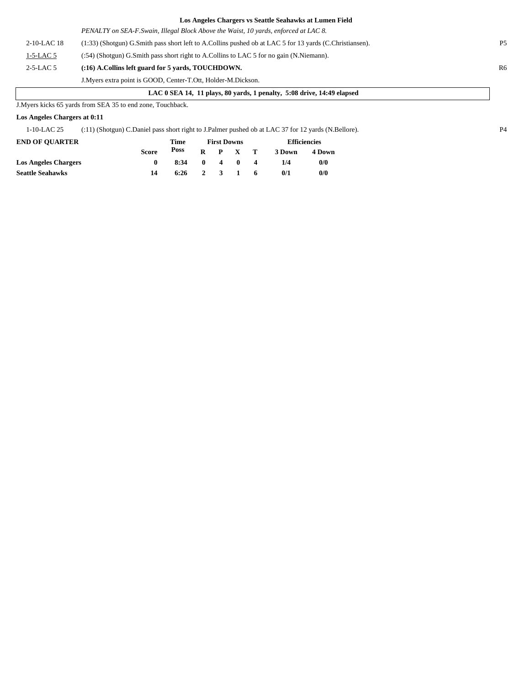|             | PENALTY on SEA-F. Swain, Illegal Block Above the Waist, 10 yards, enforced at LAC 8.                    |                |
|-------------|---------------------------------------------------------------------------------------------------------|----------------|
| 2-10-LAC 18 | (1:33) (Shotgun) G.Smith pass short left to A.Collins pushed ob at LAC 5 for 13 yards (C.Christiansen). | <b>P5</b>      |
| $1-5-LAC5$  | (:54) (Shotgun) G.Smith pass short right to A.Collins to LAC 5 for no gain (N.Niemann).                 |                |
| $2-5-LAC5$  | (:16) A.Collins left guard for 5 vards, TOUCHDOWN.                                                      | R <sub>6</sub> |
|             | J. Myers extra point is GOOD, Center-T.Ott, Holder-M. Dickson.                                          |                |

### **LAC 0 SEA 14, 11 plays, 80 yards, 1 penalty, 5:08 drive, 14:49 elapsed**

J.Myers kicks 65 yards from SEA 35 to end zone, Touchback.

### **Los Angeles Chargers at 0:11**

1-10-LAC 25 (:11) (Shotgun) C.Daniel pass short right to J.Palmer pushed ob at LAC 37 for 12 yards (N.Bellore). P4

| <b>END OF OUARTER</b>       |              | Time |              | <b>First Downs</b> |                  | <b>Efficiencies</b> |        |  |
|-----------------------------|--------------|------|--------------|--------------------|------------------|---------------------|--------|--|
|                             | <b>Score</b> | Poss | $\mathbf{R}$ | P X T              |                  | 3 Down              | 4 Down |  |
| <b>Los Angeles Chargers</b> |              | 8:34 | $\mathbf{0}$ | 4 0                | $\boldsymbol{A}$ | 1/4                 | 0/0    |  |
| <b>Seattle Seahawks</b>     | 14           | 6:26 |              | 2 3 1              | -6               | 0/1                 | 0/0    |  |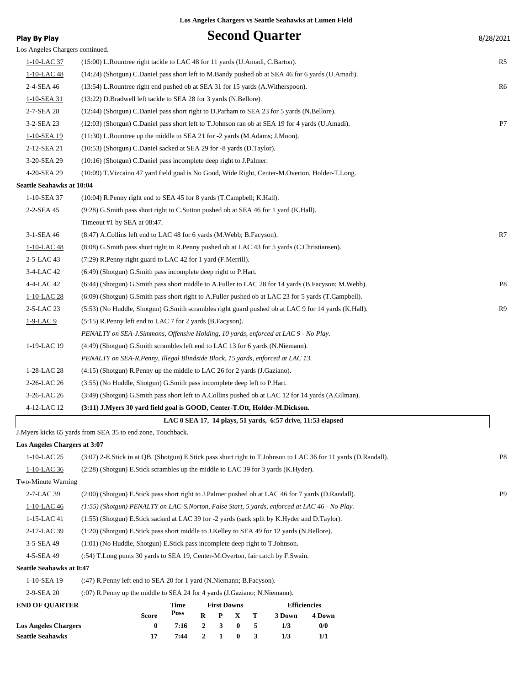| <b>Play By Play</b>             |                                                                                                     |             |                  |                    |          |   | <b>Second Quarter</b> |                                                                                                                | 8/28/2021      |
|---------------------------------|-----------------------------------------------------------------------------------------------------|-------------|------------------|--------------------|----------|---|-----------------------|----------------------------------------------------------------------------------------------------------------|----------------|
| Los Angeles Chargers continued. |                                                                                                     |             |                  |                    |          |   |                       |                                                                                                                |                |
| 1-10-LAC 37                     | (15:00) L.Rountree right tackle to LAC 48 for 11 yards (U.Amadi, C.Barton).                         |             |                  |                    |          |   |                       |                                                                                                                | R5             |
| 1-10-LAC 48                     | (14:24) (Shotgun) C.Daniel pass short left to M.Bandy pushed ob at SEA 46 for 6 yards (U.Amadi).    |             |                  |                    |          |   |                       |                                                                                                                |                |
| 2-4-SEA 46                      | (13:54) L.Rountree right end pushed ob at SEA 31 for 15 yards (A.Witherspoon).                      |             |                  |                    |          |   |                       |                                                                                                                | R6             |
| 1-10-SEA 31                     | (13:22) D.Bradwell left tackle to SEA 28 for 3 yards (N.Bellore).                                   |             |                  |                    |          |   |                       |                                                                                                                |                |
| 2-7-SEA 28                      | (12:44) (Shotgun) C.Daniel pass short right to D.Parham to SEA 23 for 5 yards (N.Bellore).          |             |                  |                    |          |   |                       |                                                                                                                |                |
| 3-2-SEA 23                      | (12:03) (Shotgun) C.Daniel pass short left to T.Johnson ran ob at SEA 19 for 4 yards (U.Amadi).     |             |                  |                    |          |   |                       |                                                                                                                | P7             |
| 1-10-SEA 19                     | $(11:30)$ L.Rountree up the middle to SEA 21 for -2 yards (M.Adams; J.Moon).                        |             |                  |                    |          |   |                       |                                                                                                                |                |
| 2-12-SEA 21                     | (10:53) (Shotgun) C.Daniel sacked at SEA 29 for -8 yards (D.Taylor).                                |             |                  |                    |          |   |                       |                                                                                                                |                |
| 3-20-SEA 29                     | (10:16) (Shotgun) C.Daniel pass incomplete deep right to J.Palmer.                                  |             |                  |                    |          |   |                       |                                                                                                                |                |
| 4-20-SEA 29                     | (10:09) T. Vizcaino 47 yard field goal is No Good, Wide Right, Center-M. Overton, Holder-T. Long.   |             |                  |                    |          |   |                       |                                                                                                                |                |
| Seattle Seahawks at 10:04       |                                                                                                     |             |                  |                    |          |   |                       |                                                                                                                |                |
| 1-10-SEA 37                     | (10:04) R.Penny right end to SEA 45 for 8 yards (T.Campbell; K.Hall).                               |             |                  |                    |          |   |                       |                                                                                                                |                |
| 2-2-SEA 45                      | (9:28) G.Smith pass short right to C.Sutton pushed ob at SEA 46 for 1 yard (K.Hall).                |             |                  |                    |          |   |                       |                                                                                                                |                |
|                                 | Timeout #1 by SEA at 08:47.                                                                         |             |                  |                    |          |   |                       |                                                                                                                |                |
| 3-1-SEA 46                      | (8:47) A.Collins left end to LAC 48 for 6 yards (M.Webb; B.Facyson).                                |             |                  |                    |          |   |                       |                                                                                                                | R7             |
| 1-10-LAC 48                     | (8:08) G.Smith pass short right to R.Penny pushed ob at LAC 43 for 5 yards (C.Christiansen).        |             |                  |                    |          |   |                       |                                                                                                                |                |
| 2-5-LAC 43                      | (7:29) R.Penny right guard to LAC 42 for 1 yard (F.Merrill).                                        |             |                  |                    |          |   |                       |                                                                                                                |                |
| 3-4-LAC 42                      | (6:49) (Shotgun) G.Smith pass incomplete deep right to P.Hart.                                      |             |                  |                    |          |   |                       |                                                                                                                |                |
| 4-4-LAC 42                      | (6:44) (Shotgun) G.Smith pass short middle to A.Fuller to LAC 28 for 14 yards (B.Facyson; M.Webb).  |             |                  |                    |          |   |                       |                                                                                                                | P8             |
| 1-10-LAC 28                     | (6:09) (Shotgun) G.Smith pass short right to A.Fuller pushed ob at LAC 23 for 5 yards (T.Campbell). |             |                  |                    |          |   |                       |                                                                                                                |                |
| 2-5-LAC 23                      | (5:53) (No Huddle, Shotgun) G.Smith scrambles right guard pushed ob at LAC 9 for 14 yards (K.Hall). |             |                  |                    |          |   |                       |                                                                                                                | R9             |
| 1-9-LAC 9                       | (5:15) R.Penny left end to LAC 7 for 2 yards (B.Facyson).                                           |             |                  |                    |          |   |                       |                                                                                                                |                |
|                                 | PENALTY on SEA-J.Simmons, Offensive Holding, 10 yards, enforced at LAC 9 - No Play.                 |             |                  |                    |          |   |                       |                                                                                                                |                |
| 1-19-LAC 19                     | (4:49) (Shotgun) G.Smith scrambles left end to LAC 13 for 6 yards (N.Niemann).                      |             |                  |                    |          |   |                       |                                                                                                                |                |
|                                 | PENALTY on SEA-R.Penny, Illegal Blindside Block, 15 yards, enforced at LAC 13.                      |             |                  |                    |          |   |                       |                                                                                                                |                |
| 1-28-LAC 28                     | (4:15) (Shotgun) R.Penny up the middle to LAC 26 for 2 yards (J.Gaziano).                           |             |                  |                    |          |   |                       |                                                                                                                |                |
| 2-26-LAC 26                     | (3:55) (No Huddle, Shotgun) G.Smith pass incomplete deep left to P.Hart.                            |             |                  |                    |          |   |                       |                                                                                                                |                |
| 3-26-LAC 26                     | (3:49) (Shotgun) G.Smith pass short left to A.Collins pushed ob at LAC 12 for 14 yards (A.Gilman).  |             |                  |                    |          |   |                       |                                                                                                                |                |
| 4-12-LAC 12                     | (3:11) J.Myers 30 yard field goal is GOOD, Center-T.Ott, Holder-M.Dickson.                          |             |                  |                    |          |   |                       |                                                                                                                |                |
|                                 |                                                                                                     |             |                  |                    |          |   |                       | LAC 0 SEA 17, 14 plays, 51 yards, 6:57 drive, 11:53 elapsed                                                    |                |
|                                 | J.Myers kicks 65 yards from SEA 35 to end zone, Touchback.                                          |             |                  |                    |          |   |                       |                                                                                                                |                |
| Los Angeles Chargers at 3:07    |                                                                                                     |             |                  |                    |          |   |                       |                                                                                                                |                |
| 1-10-LAC 25                     |                                                                                                     |             |                  |                    |          |   |                       | (3:07) 2-E.Stick in at QB. (Shotgun) E.Stick pass short right to T.Johnson to LAC 36 for 11 yards (D.Randall). | P <sub>8</sub> |
| 1-10-LAC 36                     | (2:28) (Shotgun) E.Stick scrambles up the middle to LAC 39 for 3 yards (K.Hyder).                   |             |                  |                    |          |   |                       |                                                                                                                |                |
| Two-Minute Warning              |                                                                                                     |             |                  |                    |          |   |                       |                                                                                                                |                |
| 2-7-LAC 39                      | (2:00) (Shotgun) E.Stick pass short right to J.Palmer pushed ob at LAC 46 for 7 yards (D.Randall).  |             |                  |                    |          |   |                       |                                                                                                                | P <sub>9</sub> |
| 1-10-LAC 46                     | (1:55) (Shotgun) PENALTY on LAC-S.Norton, False Start, 5 yards, enforced at LAC 46 - No Play.       |             |                  |                    |          |   |                       |                                                                                                                |                |
| 1-15-LAC 41                     | (1:55) (Shotgun) E.Stick sacked at LAC 39 for -2 yards (sack split by K.Hyder and D.Taylor).        |             |                  |                    |          |   |                       |                                                                                                                |                |
| 2-17-LAC 39                     | (1:20) (Shotgun) E.Stick pass short middle to J.Kelley to SEA 49 for 12 yards (N.Bellore).          |             |                  |                    |          |   |                       |                                                                                                                |                |
| 3-5-SEA 49                      | (1:01) (No Huddle, Shotgun) E. Stick pass incomplete deep right to T. Johnson.                      |             |                  |                    |          |   |                       |                                                                                                                |                |
| 4-5-SEA 49                      | (:54) T.Long punts 30 yards to SEA 19, Center-M.Overton, fair catch by F.Swain.                     |             |                  |                    |          |   |                       |                                                                                                                |                |
| Seattle Seahawks at 0:47        |                                                                                                     |             |                  |                    |          |   |                       |                                                                                                                |                |
| 1-10-SEA 19                     | (:47) R.Penny left end to SEA 20 for 1 yard (N.Niemann; B.Facyson).                                 |             |                  |                    |          |   |                       |                                                                                                                |                |
| 2-9-SEA 20                      | (:07) R.Penny up the middle to SEA 24 for 4 yards (J.Gaziano; N.Niemann).                           |             |                  |                    |          |   |                       |                                                                                                                |                |
| <b>END OF QUARTER</b>           |                                                                                                     | <b>Time</b> |                  | <b>First Downs</b> |          |   |                       | <b>Efficiencies</b>                                                                                            |                |
|                                 | <b>Score</b>                                                                                        | Poss        | R                | P                  | X        | т | 3 Down                | 4 Down                                                                                                         |                |
| <b>Los Angeles Chargers</b>     | $\bf{0}$                                                                                            | 7:16        | $\boldsymbol{2}$ | 3                  | $\bf{0}$ | 5 | 1/3                   | 0/0                                                                                                            |                |
| <b>Seattle Seahawks</b>         | 17                                                                                                  | 7:44        | $\boldsymbol{2}$ | $\mathbf{1}$       | $\bf{0}$ | 3 | 1/3                   | 1/1                                                                                                            |                |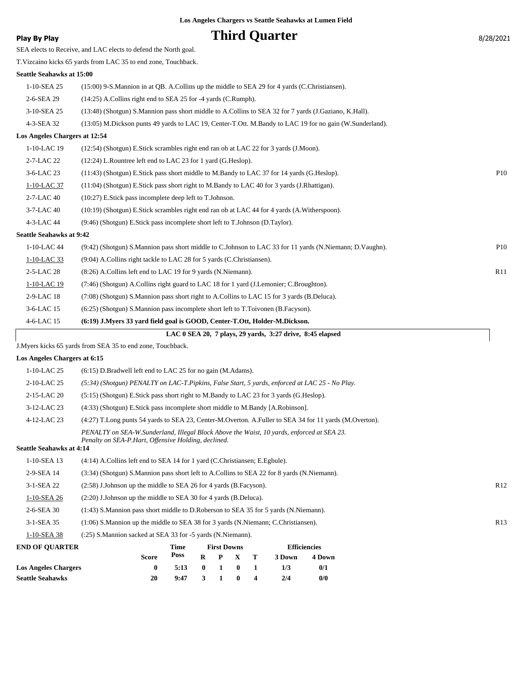## **Play By Play Play Play Play Play By Play Play By Play By Play By Play By 28/2021**

|                                 | SEA elects to Receive, and LAC elects to defend the North goal.                                         |            |
|---------------------------------|---------------------------------------------------------------------------------------------------------|------------|
|                                 | T.Vizcaino kicks 65 yards from LAC 35 to end zone, Touchback.                                           |            |
| Seattle Seahawks at 15:00       |                                                                                                         |            |
| 1-10-SEA 25                     | (15:00) 9-S.Mannion in at QB. A.Collins up the middle to SEA 29 for 4 yards (C.Christiansen).           |            |
| 2-6-SEA 29                      | (14:25) A.Collins right end to SEA 25 for -4 yards (C.Rumph).                                           |            |
| 3-10-SEA 25                     | (13:48) (Shotgun) S.Mannion pass short middle to A.Collins to SEA 32 for 7 yards (J.Gaziano, K.Hall).   |            |
| 4-3-SEA 32                      | (13:05) M.Dickson punts 49 yards to LAC 19, Center-T.Ott. M.Bandy to LAC 19 for no gain (W.Sunderland). |            |
| Los Angeles Chargers at 12:54   |                                                                                                         |            |
| 1-10-LAC 19                     | (12:54) (Shotgun) E.Stick scrambles right end ran ob at LAC 22 for 3 yards (J.Moon).                    |            |
| 2-7-LAC 22                      | (12:24) L.Rountree left end to LAC 23 for 1 yard (G.Heslop).                                            |            |
| 3-6-LAC 23                      | (11:43) (Shotgun) E.Stick pass short middle to M.Bandy to LAC 37 for 14 yards (G.Heslop).               | <b>P10</b> |
| 1-10-LAC 37                     | (11:04) (Shotgun) E.Stick pass short right to M.Bandy to LAC 40 for 3 yards (J.Rhattigan).              |            |
| 2-7-LAC 40                      | (10:27) E.Stick pass incomplete deep left to T.Johnson.                                                 |            |
| 3-7-LAC 40                      | (10:19) (Shotgun) E.Stick scrambles right end ran ob at LAC 44 for 4 yards (A.Witherspoon).             |            |
| 4-3-LAC 44                      | (9:46) (Shotgun) E.Stick pass incomplete short left to T.Johnson (D.Taylor).                            |            |
| <b>Seattle Seahawks at 9:42</b> |                                                                                                         |            |
| 1-10-LAC 44                     | (9:42) (Shotgun) S.Mannion pass short middle to C.Johnson to LAC 33 for 11 yards (N.Niemann; D.Vaughn). | <b>P10</b> |
| 1-10-LAC 33                     | (9:04) A.Collins right tackle to LAC 28 for 5 yards (C.Christiansen).                                   |            |
| 2-5-LAC 28                      | (8:26) A.Collins left end to LAC 19 for 9 yards (N.Niemann).                                            | R11        |
| 1-10-LAC 19                     | (7:46) (Shotgun) A.Collins right guard to LAC 18 for 1 yard (J.Lemonier; C.Broughton).                  |            |
| 2-9-LAC 18                      | (7:08) (Shotgun) S.Mannion pass short right to A.Collins to LAC 15 for 3 yards (B.Deluca).              |            |
| 3-6-LAC 15                      | (6:25) (Shotgun) S.Mannion pass incomplete short left to T.Toivonen (B.Facyson).                        |            |
| 4-6-LAC 15                      | (6:19) J.Myers 33 yard field goal is GOOD, Center-T.Ott, Holder-M.Dickson.                              |            |
|                                 | LAC 0 SEA 20, 7 plays, 29 yards, 3:27 drive, 8:45 elapsed                                               |            |
|                                 | J.Myers kicks 65 yards from SEA 35 to end zone, Touchback.                                              |            |
| Los Angeles Chargers at 6:15    |                                                                                                         |            |
| 1-10-LAC 25                     | $(6:15)$ D.Bradwell left end to LAC 25 for no gain (M.Adams).                                           |            |
| 2-10-LAC 25                     | (5:34) (Shotgun) PENALTY on LAC-T.Pipkins, False Start, 5 yards, enforced at LAC 25 - No Play.          |            |
| 2-15-LAC 20                     | (5:15) (Shotgun) E.Stick pass short right to M.Bandy to LAC 23 for 3 yards (G.Heslop).                  |            |
| 3-12-LAC 23                     | (4:33) (Shotgun) E.Stick pass incomplete short middle to M.Bandy [A.Robinson].                          |            |
| 4-12-LAC 23                     | (4:27) T.Long punts 54 yards to SEA 23, Center-M.Overton. A.Fuller to SEA 34 for 11 yards (M.Overton).  |            |
|                                 | PENALTY on SEA-W.Sunderland, Illegal Block Above the Waist, 10 yards, enforced at SEA 23.               |            |
| <b>Seattle Seahawks at 4:14</b> | Penalty on SEA-P.Hart, Offensive Holding, declined.                                                     |            |
| 1-10-SEA 13                     | $(4:14)$ A.Collins left end to SEA 14 for 1 yard (C.Christiansen; E.Egbule).                            |            |
| 2-9-SEA 14                      | (3:34) (Shotgun) S.Mannion pass short left to A.Collins to SEA 22 for 8 yards (N.Niemann).              |            |
| 3-1-SEA 22                      | (2.58) J.Johnson up the middle to SEA 26 for 4 yards (B.Facyson).                                       | R12        |
| 1-10-SEA 26                     | $(2:20)$ J.Johnson up the middle to SEA 30 for 4 yards (B.Deluca).                                      |            |
| 2-6-SEA 30                      | (1:43) S. Mannion pass short middle to D. Roberson to SEA 35 for 5 yards (N. Niemann).                  |            |
| 3-1-SEA 35                      | $(1:06)$ S. Mannion up the middle to SEA 38 for 3 yards (N. Niemann; C. Christiansen).                  | R13        |
| 1-10-SEA 38                     | (:25) S.Mannion sacked at SEA 33 for -5 yards (N.Niemann).                                              |            |
|                                 |                                                                                                         |            |

| <b>END OF OUARTER</b>       |       | Time |              | <b>First Downs</b> |              |                | <b>Efficiencies</b> |        |  |
|-----------------------------|-------|------|--------------|--------------------|--------------|----------------|---------------------|--------|--|
|                             | Score | Poss | $\mathbf{R}$ |                    | P X T        |                | 3 Down              | 4 Down |  |
| <b>Los Angeles Chargers</b> |       | 5:13 | $\mathbf{0}$ | $\sim$ 1 $\sim$    | $\mathbf{0}$ | $\blacksquare$ | 173                 | 0/1    |  |
| <b>Seattle Seahawks</b>     | 20    | 9:47 | $\mathbf{3}$ | $\mathbf{1}$       | $\mathbf{0}$ |                | 2/4                 | 0/0    |  |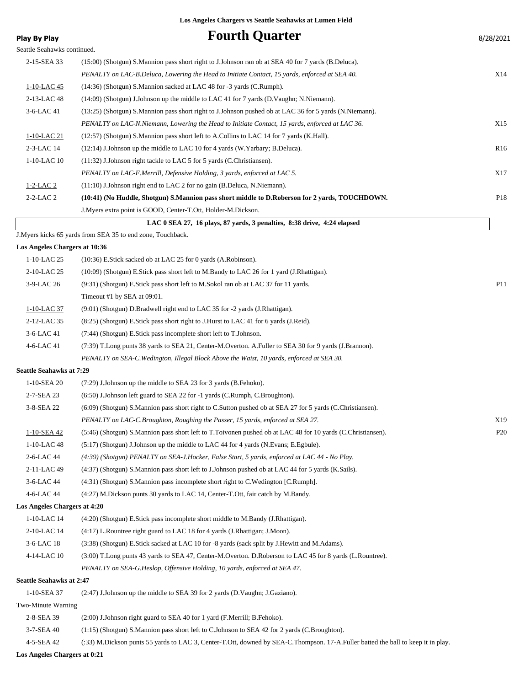| <b>Play By Play</b>             | <b>Fourth Quarter</b>                                                                                                            | 8/28/2021       |
|---------------------------------|----------------------------------------------------------------------------------------------------------------------------------|-----------------|
| Seattle Seahawks continued.     |                                                                                                                                  |                 |
| 2-15-SEA 33                     | (15:00) (Shotgun) S. Mannion pass short right to J. Johnson ran ob at SEA 40 for 7 yards (B. Deluca).                            |                 |
|                                 | PENALTY on LAC-B.Deluca, Lowering the Head to Initiate Contact, 15 yards, enforced at SEA 40.                                    | X14             |
| 1-10-LAC 45                     | (14:36) (Shotgun) S.Mannion sacked at LAC 48 for -3 yards (C.Rumph).                                                             |                 |
| 2-13-LAC 48                     | (14:09) (Shotgun) J.Johnson up the middle to LAC 41 for 7 yards (D.Vaughn; N.Niemann).                                           |                 |
| 3-6-LAC 41                      | (13:25) (Shotgun) S.Mannion pass short right to J.Johnson pushed ob at LAC 36 for 5 yards (N.Niemann).                           |                 |
|                                 | PENALTY on LAC-N.Niemann, Lowering the Head to Initiate Contact, 15 yards, enforced at LAC 36.                                   | X15             |
| <u>1-10-LAC 21</u>              | (12:57) (Shotgun) S.Mannion pass short left to A.Collins to LAC 14 for 7 yards (K.Hall).                                         |                 |
| 2-3-LAC 14                      | (12:14) J.Johnson up the middle to LAC 10 for 4 yards (W.Yarbary; B.Deluca).                                                     | R <sub>16</sub> |
| 1-10-LAC 10                     | $(11:32)$ J.Johnson right tackle to LAC 5 for 5 yards (C.Christiansen).                                                          |                 |
|                                 | PENALTY on LAC-F.Merrill, Defensive Holding, 3 yards, enforced at LAC 5.                                                         | X17             |
| $1-2-LAC2$                      | (11:10) J.Johnson right end to LAC 2 for no gain (B.Deluca, N.Niemann).                                                          |                 |
| 2-2-LAC 2                       | (10:41) (No Huddle, Shotgun) S.Mannion pass short middle to D.Roberson for 2 yards, TOUCHDOWN.                                   | P18             |
|                                 | J. Myers extra point is GOOD, Center-T. Ott, Holder-M. Dickson.                                                                  |                 |
|                                 | LAC 0 SEA 27, 16 plays, 87 yards, 3 penalties, 8:38 drive, 4:24 elapsed                                                          |                 |
|                                 | J.Myers kicks 65 yards from SEA 35 to end zone, Touchback.                                                                       |                 |
| Los Angeles Chargers at 10:36   |                                                                                                                                  |                 |
| 1-10-LAC 25                     | $(10:36)$ E.Stick sacked ob at LAC 25 for 0 yards $(A.Robinson)$ .                                                               |                 |
| 2-10-LAC 25                     | (10:09) (Shotgun) E.Stick pass short left to M.Bandy to LAC 26 for 1 yard (J.Rhattigan).                                         |                 |
| 3-9-LAC 26                      | (9.31) (Shotgun) E.Stick pass short left to M.Sokol ran ob at LAC 37 for 11 yards.                                               | P11             |
|                                 | Timeout #1 by SEA at 09:01.                                                                                                      |                 |
| 1-10-LAC 37                     | (9:01) (Shotgun) D.Bradwell right end to LAC 35 for -2 yards (J.Rhattigan).                                                      |                 |
| 2-12-LAC 35                     | (8.25) (Shotgun) E.Stick pass short right to J.Hurst to LAC 41 for 6 yards (J.Reid).                                             |                 |
| 3-6-LAC 41                      | (7:44) (Shotgun) E.Stick pass incomplete short left to T.Johnson.                                                                |                 |
| 4-6-LAC 41                      | (7:39) T.Long punts 38 yards to SEA 21, Center-M.Overton. A.Fuller to SEA 30 for 9 yards (J.Brannon).                            |                 |
|                                 | PENALTY on SEA-C. Wedington, Illegal Block Above the Waist, 10 yards, enforced at SEA 30.                                        |                 |
| Seattle Seahawks at 7:29        |                                                                                                                                  |                 |
| 1-10-SEA 20                     | (7:29) J.Johnson up the middle to SEA 23 for 3 yards (B.Fehoko).                                                                 |                 |
| 2-7-SEA 23                      | $(6:50)$ J.Johnson left guard to SEA 22 for -1 yards (C.Rumph, C.Broughton).                                                     |                 |
| 3-8-SEA 22                      | (6:09) (Shotgun) S.Mannion pass short right to C.Sutton pushed ob at SEA 27 for 5 yards (C.Christiansen).                        |                 |
|                                 | PENALTY on LAC-C.Broughton, Roughing the Passer, 15 yards, enforced at SEA 27.                                                   | X19             |
| 1-10-SEA 42                     | (5:46) (Shotgun) S.Mannion pass short left to T.Toivonen pushed ob at LAC 48 for 10 yards (C.Christiansen).                      | P <sub>20</sub> |
| 1-10-LAC 48                     | $(5.17)$ (Shotgun) J.Johnson up the middle to LAC 44 for 4 yards (N.Evans; E.Egbule).                                            |                 |
| 2-6-LAC 44                      | (4:39) (Shotgun) PENALTY on SEA-J.Hocker, False Start, 5 yards, enforced at LAC 44 - No Play.                                    |                 |
| 2-11-LAC 49                     | (4:37) (Shotgun) S.Mannion pass short left to J.Johnson pushed ob at LAC 44 for 5 yards (K.Sails).                               |                 |
| 3-6-LAC 44                      | (4:31) (Shotgun) S.Mannion pass incomplete short right to C.Wedington [C.Rumph].                                                 |                 |
| 4-6-LAC 44                      | (4:27) M.Dickson punts 30 yards to LAC 14, Center-T.Ott, fair catch by M.Bandy.                                                  |                 |
| Los Angeles Chargers at 4:20    |                                                                                                                                  |                 |
| 1-10-LAC 14                     | (4:20) (Shotgun) E.Stick pass incomplete short middle to M.Bandy (J.Rhattigan).                                                  |                 |
| 2-10-LAC 14                     | (4:17) L.Rountree right guard to LAC 18 for 4 yards (J.Rhattigan; J.Moon).                                                       |                 |
| 3-6-LAC 18                      | (3:38) (Shotgun) E.Stick sacked at LAC 10 for -8 yards (sack split by J.Hewitt and M.Adams).                                     |                 |
| 4-14-LAC 10                     | (3:00) T.Long punts 43 yards to SEA 47, Center-M.Overton. D.Roberson to LAC 45 for 8 yards (L.Rountree).                         |                 |
|                                 | PENALTY on SEA-G.Heslop, Offensive Holding, 10 yards, enforced at SEA 47.                                                        |                 |
| <b>Seattle Seahawks at 2:47</b> |                                                                                                                                  |                 |
| 1-10-SEA 37                     | (2:47) J.Johnson up the middle to SEA 39 for 2 yards (D.Vaughn; J.Gaziano).                                                      |                 |
| Two-Minute Warning              |                                                                                                                                  |                 |
| 2-8-SEA 39                      | (2:00) J.Johnson right guard to SEA 40 for 1 yard (F.Merrill; B.Fehoko).                                                         |                 |
| 3-7-SEA 40                      | (1:15) (Shotgun) S.Mannion pass short left to C.Johnson to SEA 42 for 2 yards (C.Broughton).                                     |                 |
| 4-5-SEA 42                      | (:33) M.Dickson punts 55 yards to LAC 3, Center-T.Ott, downed by SEA-C.Thompson. 17-A.Fuller batted the ball to keep it in play. |                 |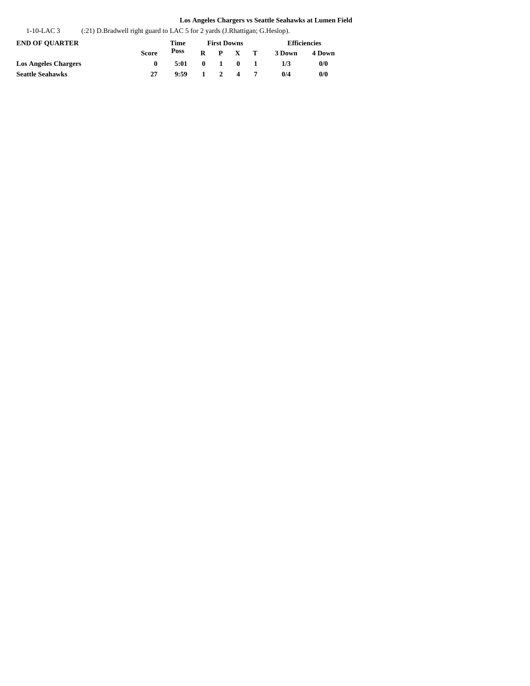| 1-10-LAC 3 | (:21) D.Bradwell right guard to LAC 5 for 2 yards (J.Rhattigan; G.Heslop). |  |
|------------|----------------------------------------------------------------------------|--|
|            |                                                                            |  |

| <b>END OF OUARTER</b>       |              | Time |  | <b>First Downs</b>                          |                | <b>Efficiencies</b> |        |  |  |
|-----------------------------|--------------|------|--|---------------------------------------------|----------------|---------------------|--------|--|--|
|                             | <b>Score</b> | Poss |  | $R$ $P$ $X$ $T$                             |                | 3 Down              | 4 Down |  |  |
| <b>Los Angeles Chargers</b> |              | 5:01 |  | $\begin{array}{cccc} 0 & 1 & 0 \end{array}$ | $\blacksquare$ | 1/3                 | 0/0    |  |  |
| Seattle Seahawks            |              | 9:59 |  | $1 \quad 2 \quad 4$                         |                | 0/4                 | 0/0    |  |  |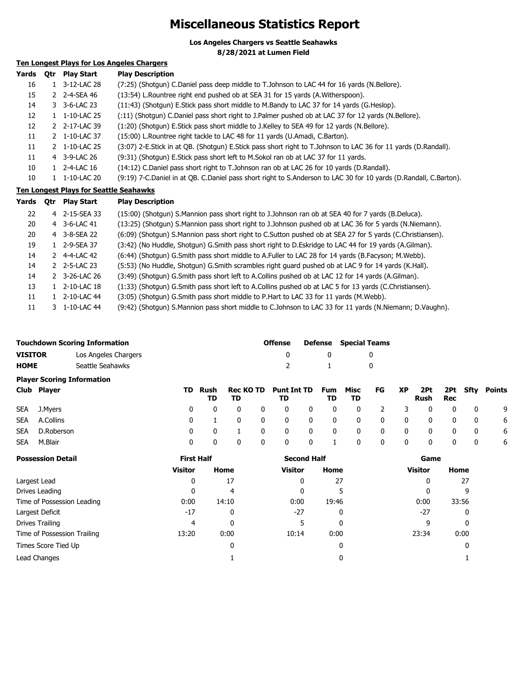## **Miscellaneous Statistics Report**

**Los Angeles Chargers vs Seattle Seahawks**

**8/28/2021 at Lumen Field**

## **Ten Longest Plays for Los Angeles Chargers**

| Yards | Otr | <b>Play Start</b> | <b>Play Description</b>                                                                                           |
|-------|-----|-------------------|-------------------------------------------------------------------------------------------------------------------|
| 16    |     | 3-12-LAC 28       | (7:25) (Shotqun) C.Daniel pass deep middle to T.Johnson to LAC 44 for 16 yards (N.Bellore).                       |
| 15    |     | 2 2-4-SEA 46      | (13:54) L. Rountree right end pushed ob at SEA 31 for 15 yards (A. Witherspoon).                                  |
| 14    |     | 3 3-6-LAC 23      | (11:43) (Shotgun) E. Stick pass short middle to M. Bandy to LAC 37 for 14 yards (G. Heslop).                      |
| 12    | 1   | 1-10-LAC 25       | (:11) (Shotgun) C.Daniel pass short right to J.Palmer pushed ob at LAC 37 for 12 yards (N.Bellore).               |
| 12    |     | 2 2-17-LAC 39     | (1:20) (Shotgun) E.Stick pass short middle to J.Kelley to SEA 49 for 12 yards (N.Bellore).                        |
| 11    |     | 2 1-10-LAC 37     | (15:00) L. Rountree right tackle to LAC 48 for 11 yards (U. Amadi, C. Barton).                                    |
| 11    |     | 2 1-10-LAC 25     | (3:07) 2-E.Stick in at QB. (Shotgun) E.Stick pass short right to T.Johnson to LAC 36 for 11 yards (D.Randall).    |
| 11    |     | 4 3-9-LAC 26      | (9:31) (Shotgun) E. Stick pass short left to M. Sokol ran ob at LAC 37 for 11 yards.                              |
| 10    |     | 2-4-LAC 16        | (14:12) C.Daniel pass short right to T.Johnson ran ob at LAC 26 for 10 yards (D.Randall).                         |
| 10    |     | 1-10-LAC 20       | (9:19) 7-C.Daniel in at OB. C.Daniel pass short right to S.Anderson to LAC 30 for 10 yards (D.Randall, C.Barton). |
|       |     |                   |                                                                                                                   |

### **Ten Longest Plays for Seattle Seahawks**

| Yards | <b>Otr</b> | <b>Play Start</b> | <b>Play Description</b>                                                                                   |
|-------|------------|-------------------|-----------------------------------------------------------------------------------------------------------|
| 22    |            | 4 2-15-SEA 33     | (15:00) (Shotgun) S.Mannion pass short right to J.Johnson ran ob at SEA 40 for 7 yards (B.Deluca).        |
| 20    |            | 4 3-6-LAC 41      | (13:25) (Shotgun) S.Mannion pass short right to J.Johnson pushed ob at LAC 36 for 5 yards (N.Niemann).    |
| 20    |            | 4 3-8-SEA 22      | (6:09) (Shotgun) S.Mannion pass short right to C.Sutton pushed ob at SEA 27 for 5 yards (C.Christiansen). |
| 19    |            | 1 2-9-SEA 37      | (3:42) (No Huddle, Shotgun) G.Smith pass short right to D.Eskridge to LAC 44 for 19 yards (A.Gilman).     |
| 14    |            | 2 4-4-LAC 42      | (6:44) (Shotgun) G.Smith pass short middle to A.Fuller to LAC 28 for 14 yards (B.Facyson; M.Webb).        |
| 14    |            | 2 2-5-LAC 23      | (5:53) (No Huddle, Shotgun) G.Smith scrambles right guard pushed ob at LAC 9 for 14 yards (K.Hall).       |
| 14    |            | 2 3-26-LAC 26     | (3:49) (Shotgun) G.Smith pass short left to A.Collins pushed ob at LAC 12 for 14 yards (A.Gilman).        |
| 13    |            | 1 2-10-LAC 18     | (1:33) (Shotgun) G.Smith pass short left to A.Collins pushed ob at LAC 5 for 13 yards (C.Christiansen).   |
| 11    |            | 1 2-10-LAC 44     | (3:05) (Shotgun) G.Smith pass short middle to P.Hart to LAC 33 for 11 yards (M.Webb).                     |
| 11    |            | 3 1-10-LAC 44     | (9:42) (Shotqun) S.Mannion pass short middle to C.Johnson to LAC 33 for 11 yards (N.Niemann; D.Vaughn).   |

|                                   | <b>Touchdown Scoring Information</b> | <b>Offense</b> |             | <b>Defense</b> Special Teams |  |  |  |  |
|-----------------------------------|--------------------------------------|----------------|-------------|------------------------------|--|--|--|--|
| <b>VISITOR</b>                    | Los Angeles Chargers                 |                | - 0         |                              |  |  |  |  |
| <b>HOME</b>                       | Seattle Seahawks                     | $\mathcal{P}$  | $\sim$ $-1$ |                              |  |  |  |  |
| <b>Player Scoring Information</b> |                                      |                |             |                              |  |  |  |  |

| Club Player    | TD. | TD. | TD Rush Rec KO TD Punt Int TD Fum Misc FG XP 2Pt 2Pt Sfty Points<br>TD. |  | TD TD |  | Rush Rec |  |             |
|----------------|-----|-----|-------------------------------------------------------------------------|--|-------|--|----------|--|-------------|
| SEA J.Myers    |     |     | 0 0 0 0 0 0 0 0 0 2 3 0 0 0 0 9                                         |  |       |  |          |  |             |
| SEA A.Collins  |     |     | 0 1 0 0 0 0 0 0 0 0 0 0 0 6                                             |  |       |  |          |  |             |
| SEA D.Roberson |     |     | 0 0 1 0 0 0 0 0 0 0 0 0 0 0 6                                           |  |       |  |          |  |             |
| SEA M.Blair    |     |     | 0 0 0 0 0 1 0 0 0 0 0 0                                                 |  |       |  |          |  | $0\qquad 6$ |

| <b>Possession Detail</b>    | <b>First Half</b> |       | <b>Second Half</b> |       | Game           |       |  |
|-----------------------------|-------------------|-------|--------------------|-------|----------------|-------|--|
|                             | <b>Visitor</b>    | Home  | Visitor            | Home  | <b>Visitor</b> | Home  |  |
| Largest Lead                | 0                 | 17    | 0                  | 27    | 0              | 27    |  |
| Drives Leading              | 0                 | 4     | 0                  |       | 0              | 9     |  |
| Time of Possession Leading  | 0:00              | 14:10 | 0:00               | 19:46 | 0:00           | 33:56 |  |
| Largest Deficit             | $-17$             | 0     | $-27$              | 0     | -27            | 0     |  |
| Drives Trailing             | 4                 | 0     |                    | 0     | 9              | 0     |  |
| Time of Possession Trailing | 13:20             | 0:00  | 10:14              | 0:00  | 23:34          | 0:00  |  |
| Times Score Tied Up         |                   | 0     |                    | 0     |                | 0     |  |
| Lead Changes                |                   |       |                    | 0     |                |       |  |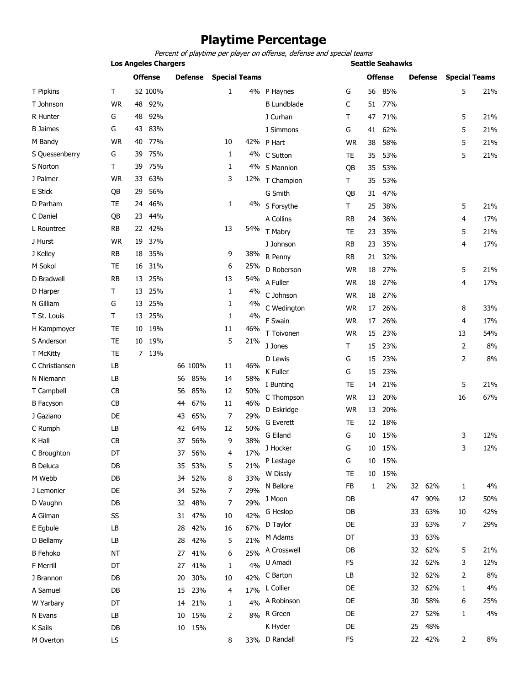## **Playtime Percentage**

Percent of playtime per player on offense, defense and special teams

|                  |           |                | <b>Los Angeles Chargers</b> |    |                |                      |     |                    |           |              |                | <b>Seattle Seahawks</b> |        |                      |     |  |  |
|------------------|-----------|----------------|-----------------------------|----|----------------|----------------------|-----|--------------------|-----------|--------------|----------------|-------------------------|--------|----------------------|-----|--|--|
|                  |           | <b>Offense</b> |                             |    | <b>Defense</b> | <b>Special Teams</b> |     |                    |           |              | <b>Offense</b> | Defense                 |        | <b>Special Teams</b> |     |  |  |
| T Pipkins        | T         |                | 52 100%                     |    |                | $\mathbf{1}$         | 4%  | P Haynes           | G         | 56           | 85%            |                         |        | 5                    | 21% |  |  |
| T Johnson        | <b>WR</b> | 48             | 92%                         |    |                |                      |     | <b>B</b> Lundblade | C         | 51           | 77%            |                         |        |                      |     |  |  |
| R Hunter         | G         | 48             | 92%                         |    |                |                      |     | J Curhan           | т         | 47           | 71%            |                         |        | 5                    | 21% |  |  |
| <b>B</b> Jaimes  | G         | 43             | 83%                         |    |                |                      |     | J Simmons          | G         | 41           | 62%            |                         |        | 5                    | 21% |  |  |
| M Bandy          | <b>WR</b> | 40             | 77%                         |    |                | 10                   |     | 42% P Hart         | <b>WR</b> | 38           | 58%            |                         |        | 5                    | 21% |  |  |
| S Quessenberry   | G         | 39             | 75%                         |    |                | 1                    |     | 4% C Sutton        | TE        | 35           | 53%            |                         |        | 5                    | 21% |  |  |
| S Norton         | Τ         | 39             | 75%                         |    |                | 1                    |     | 4% S Mannion       | QB        | 35           | 53%            |                         |        |                      |     |  |  |
| J Palmer         | <b>WR</b> | 33             | 63%                         |    |                | 3                    | 12% | T Champion         | T         | 35           | 53%            |                         |        |                      |     |  |  |
| E Stick          | QB        | 29             | 56%                         |    |                |                      |     | G Smith            | QB        | 31           | 47%            |                         |        |                      |     |  |  |
| D Parham         | <b>TE</b> | 24             | 46%                         |    |                | 1                    | 4%  | S Forsythe         | T         | 25           | 38%            |                         |        | 5                    | 21% |  |  |
| C Daniel         | QB        | 23             | 44%                         |    |                |                      |     | A Collins          | RB        | 24           | 36%            |                         |        | 4                    | 17% |  |  |
| L Rountree       | <b>RB</b> | 22             | 42%                         |    |                | 13                   | 54% | T Mabry            | TE        | 23           | 35%            |                         |        | 5                    | 21% |  |  |
| J Hurst          | <b>WR</b> | 19             | 37%                         |    |                |                      |     | J Johnson          | <b>RB</b> | 23           | 35%            |                         |        | 4                    | 17% |  |  |
| J Kelley         | <b>RB</b> | 18             | 35%                         |    |                | 9                    | 38% | R Penny            | RB        | 21           | 32%            |                         |        |                      |     |  |  |
| M Sokol          | <b>TE</b> | 16             | 31%                         |    |                | 6                    | 25% | D Roberson         | <b>WR</b> | 18           | 27%            |                         |        | 5                    | 21% |  |  |
| D Bradwell       | <b>RB</b> | 13             | 25%                         |    |                | 13                   | 54% | A Fuller           | <b>WR</b> | 18           | 27%            |                         |        | 4                    | 17% |  |  |
| D Harper         | Τ         | 13             | 25%                         |    |                | 1                    | 4%  | C Johnson          | <b>WR</b> | 18           | 27%            |                         |        |                      |     |  |  |
| N Gilliam        | G         | 13             | 25%                         |    |                | 1                    | 4%  | C Wedington        | <b>WR</b> | 17           |                |                         |        |                      | 33% |  |  |
| T St. Louis      | T         | 13             | 25%                         |    |                | 1                    | 4%  | F Swain            |           |              | 26%            |                         |        | 8                    |     |  |  |
| H Kampmoyer      | <b>TE</b> | 10             | 19%                         |    |                | 11                   | 46% |                    | <b>WR</b> | 17           | 26%            |                         |        | 4                    | 17% |  |  |
| S Anderson       | <b>TE</b> | 10             | 19%                         |    |                | 5                    | 21% | T Toivonen         | <b>WR</b> | 15           | 23%            |                         |        | 13                   | 54% |  |  |
| T McKitty        | <b>TE</b> | 7              | 13%                         |    |                |                      |     | J Jones            | т         | 15           | 23%            |                         |        | $\overline{2}$       | 8%  |  |  |
| C Christiansen   | LB        |                |                             |    | 66 100%        | 11                   | 46% | D Lewis            | G         | 15           | 23%            |                         |        | $\overline{2}$       | 8%  |  |  |
| N Niemann        | LB        |                |                             | 56 | 85%            | 14                   | 58% | K Fuller           | G         | 15           | 23%            |                         |        |                      |     |  |  |
| T Campbell       | CB        |                |                             | 56 | 85%            | 12                   | 50% | I Bunting          | TE        | 14           | 21%            |                         |        | 5                    | 21% |  |  |
| <b>B</b> Facyson | CB        |                |                             | 44 | 67%            | 11                   | 46% | C Thompson         | <b>WR</b> | 13           | 20%            |                         |        | 16                   | 67% |  |  |
| J Gaziano        | DE        |                |                             | 43 | 65%            | 7                    | 29% | D Eskridge         | <b>WR</b> | 13           | 20%            |                         |        |                      |     |  |  |
| C Rumph          | LB        |                |                             | 42 | 64%            | 12                   | 50% | <b>G</b> Everett   | <b>TE</b> | 12           | 18%            |                         |        |                      |     |  |  |
| K Hall           | CB        |                |                             | 37 | 56%            | 9                    | 38% | G Eiland           | G         | 10           | 15%            |                         |        | 3                    | 12% |  |  |
| C Broughton      | DT        |                |                             | 37 | 56%            | 4                    | 17% | J Hocker           | G         | $10\,$       | 15%            |                         |        | 3                    | 12% |  |  |
| <b>B</b> Deluca  | DB        |                |                             | 35 | 53%            | 5                    | 21% | P Lestage          | G         | 10           | 15%            |                         |        |                      |     |  |  |
| M Webb           | DB        |                |                             | 34 | 52%            | 8                    | 33% | W Dissly           | TE        | 10           | 15%            |                         |        |                      |     |  |  |
| J Lemonier       | DE        |                |                             | 34 | 52%            | 7                    | 29% | N Bellore          | FB        | $\mathbf{1}$ | 2%             |                         | 32 62% | 1                    | 4%  |  |  |
| D Vaughn         | DB        |                |                             | 32 | 48%            | 7                    | 29% | J Moon             | DB        |              |                | 47                      | 90%    | 12                   | 50% |  |  |
| A Gilman         | SS        |                |                             | 31 | 47%            | 10                   | 42% | G Heslop           | DB        |              |                | 33                      | 63%    | 10                   | 42% |  |  |
| E Egbule         | LB        |                |                             | 28 | 42%            | 16                   | 67% | D Taylor           | DE        |              |                | 33                      | 63%    | 7                    | 29% |  |  |
| D Bellamy        | LB        |                |                             | 28 | 42%            | 5                    | 21% | M Adams            | DT        |              |                | 33                      | 63%    |                      |     |  |  |
| <b>B</b> Fehoko  | <b>NT</b> |                |                             | 27 | 41%            | 6                    | 25% | A Crosswell        | DB        |              |                | 32                      | 62%    | 5                    | 21% |  |  |
| <b>F</b> Merrill | DT        |                |                             | 27 | 41%            | 1                    | 4%  | U Amadi            | FS        |              |                | 32                      | 62%    | 3                    | 12% |  |  |
| J Brannon        | DB        |                |                             | 20 | 30%            | 10                   | 42% | C Barton           | LB        |              |                | 32                      | 62%    | 2                    | 8%  |  |  |
| A Samuel         | DB        |                |                             | 15 | 23%            | 4                    | 17% | L Collier          | DE        |              |                | 32                      | 62%    | 1                    | 4%  |  |  |
| W Yarbary        | DT        |                |                             | 14 | 21%            | 1                    | 4%  | A Robinson         | DE        |              |                | 30                      | 58%    | 6                    | 25% |  |  |
| N Evans          | LB        |                |                             | 10 | 15%            | 2                    | 8%  | R Green            | DE        |              |                | 27                      | 52%    | 1                    | 4%  |  |  |
| K Sails          | DB        |                |                             | 10 | 15%            |                      |     | K Hyder            | DE        |              |                | 25                      | 48%    |                      |     |  |  |
| M Overton        | LS        |                |                             |    |                | 8                    |     | 33% D Randall      | FS        |              |                |                         | 22 42% | $\overline{2}$       | 8%  |  |  |